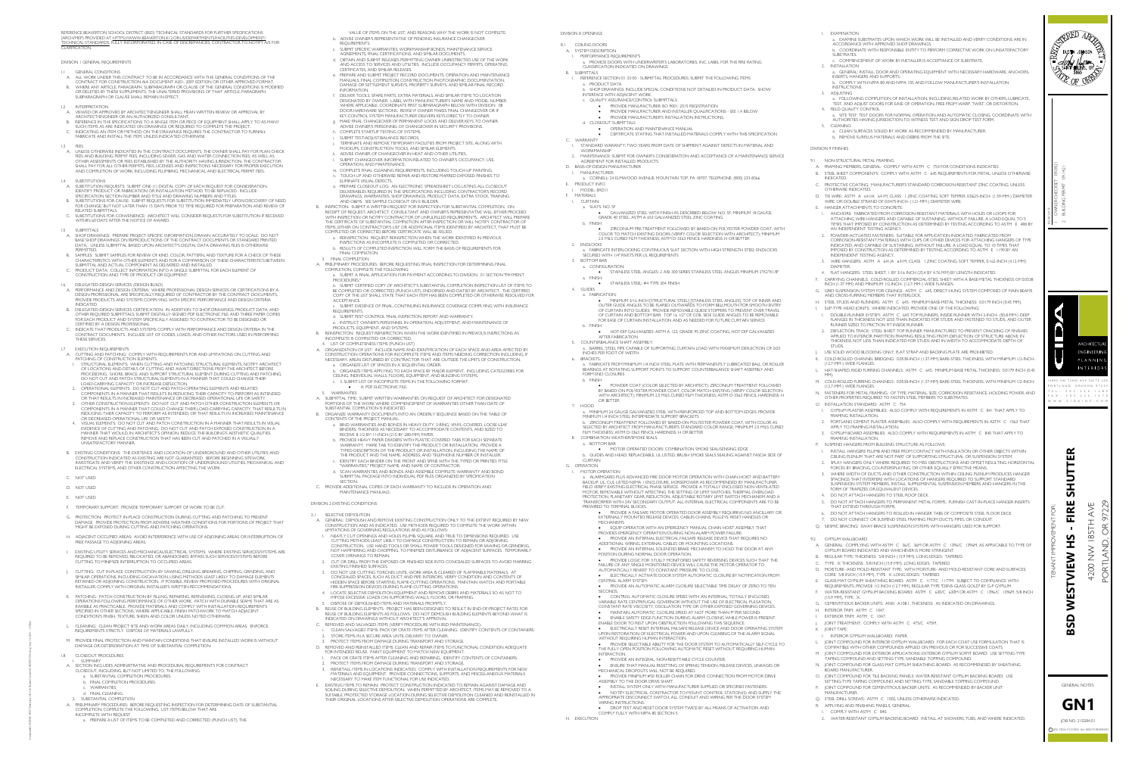REFERENCE BEAVERTON SCHOOL DISTRICT (BSD) TECHNICAL STANDARDS FOR FURTHER SPECIFICATIONS REFERENCE BEAVERTON SCHOOL DISTRICT (BSD) TECHNICAL STANDARDS FOR FURTHER SPECIFICATIONS<br>(ARCH/MEP) PROVIDED AT <u>HTTPS://WWW.BEAVERTON.K12.OR.US/DEPARTMENTS</u>/FACILITIES-DEVELOPMENT/ REFERENCE BEAVERTON SCHOOL DISTRICT (BSD) TECHNICAL STANDARDS FOR FURTHER SPECIFICATIONS<br>(ARCH/MEP) PROVIDED AT <u>HTTPS://WWW.BEAVERTON.KI2.OR.US/DEPARTMENTS/FACILITIES-DEVELOPMENT/</u><br>TECHNICAL-STANDARDS. FULLY INCORPORATED. REFERENCE BEAT<br>(ARCH/MEP) PRO<br>TECHNICAL-STA<br>CLARIFICATION. REFERENCE BEAVERTON SCHOOL DIS<br>(ARCH/MEP) PROVIDED AT <u>HTTPS://W</u><br>TECHNICAL-STANDARDS. FULLY INC<br>CLARIFICATION.<br>DIVISION I GENERAL REQUIREMENTS REFERENCE BEAVERTON SCHO<br>(ARCH/MEP) PROVIDED AT <u>HTT</u><br>TECHNICAL-STANDARDS. FULL<br>CLARIFICATION.<br>DIVISION I GENERAL REQUIREN<br>I.I GENERAL CONDITIONS ERENCE BEAVERTON SCHOOL DISTRICT (BSD) TECHNICAL STANDARDS FOR FURTHER SPECIFICATIONS<br>RCHIMEP) PROVIDED AT <u>HTTPS://WWW.BEAVERTON.KI 2.OR.US/DEPARTMENTS/FACILITIES-DEVELOPMENT/</u><br>CHNICAL-STANDARDS, FULLY INCORPORATED. IN CA ERENCE BEAVERTON SCHOOL DISTRICT (BSD) TECHNICAL STANDARDS FOR FURTHER SPECIFICATIONS<br>SCH/MEP) PROVIDED AT <u>HTTPS://WWW.BEAVERTON.KI 2.OR.US/DEPARTMENTS/FACILITIES-DEVELOPMENT/</u><br>CHNICAL-STANDARDS, FULLY INCORPORATED. IN CA REFERENCE BEAVERTON<br>
(ARCH/MEP) PROVIDED A<br>
TECHNICAL-STANDARDS<br>
CLARIFICATION.<br>
DIVISION I GENERAL REC<br>
1.1 GENERAL CONDI<br>
A. ALL WORK UNDE<br>
CONTRACT FOR<br>
B. WHERE ANY ART<br>
OR DELETED BY 1<br>
SUBPARAGRAPH<br>
1.2 INTERPRETATIO

- 
- DIVISION I GENERAL REQUIREMENTS<br>1.1 GENERAL CONDITIONS<br>4. ALL WORK UNDER THIS CONTRACT TO BE IN ACCORDANCE WITH THE GENERAL CONDITIONS OF THE<br>CONTRACT FOR CONSTRUCTION AIA DOCUMENT A201, 2007 EDITION OR OTHER APPROVED FORM GENERAL CONDITIONS<br>ALL WORK UNDER THIS CONTRACT TO BE IN ACCORDANCE WITH THE GENERAL CONDITIONS OF<br>CONTRACT FOR CONSTRUCTION AIA DOCUMENT A201, 2007 EDITION OR OTHER APPROVED FORN<br>WHERE ANY ARTICLE, PARAGRAPH, SUBPARAGRAPH SLIL WORK UNDER THIS CONTRACT TO BE IN ACCOR<br>CONTRACT FOR CONSTRUCTION AIA DOCUMENT A2<br>WHERE ANY ARTICLE, PARAGRAPH, SUBPARAGRAPH C<br>OR DELETED BY THESE SUPPLEMENTS, THE UNALTERED<br>SUBPARAGRAPH OR CLAUSE SHALL REMAIN IN EFFE ERENCE BEAVERTON SCHOOL DISTRICT (BSD) TECHNICAL STANDARDS FOR FURTHER SPECIFICATIONS<br>CHIMECH PROVIDED AT <u>HITTPS://WWW.BEAVERTON.KI 2.ORUS/DEPARTMENTS/FACILITIES-DEVELOPMENT.</u><br>CHIMICAL-STANDARDS, FULLY INCORPORATED. IN CA CHNICAL-STANDARDS, FULLY INCORPORATED. IN CASE OF DISCREPANCIES, CONTRACTOR TO NOTIFY Â/E FOR<br>ARIFICATION.<br>ISION 1 GENERAL REQUIREMENTS<br>A. ALL WORK UNDER THIS CONTRACT TO BE IN ACCORDANCE WITH THE GENERAL CONDITIONS OF THE A. UNICE TOR CONTRACT IN CONTROL TO BUILD MADE DOCUMENT AND COUNTING OF THE APPROVED FORMAT.<br>
B. WHERE ANY ARTICLE, PARAGRAPH, SUBPARAGRAPH OR CLAUSE OF THE GENERAL CONDITIONS IS MODIFIED<br>
OR DELETED BY THESE SUPPLEMENTS,

- ON BEET TEST FOR THE TEAMS, THE STANDARD THIS THIS<br>SUBPARAGRAPH OR CLAUSE SHALL REMAIN IN EFFECT.<br>INTERPRETATION<br>ARCHITECT/ENGINEER OR AN AUTHORIZED CONSULTANT. INTERPRETATION<br>VIEWED OR APPROVED BY ARCHITECT/ENGINEER SHALL MEAN WRITTEN REVIEW OR APPRC<br>ARCHITECT/ENGINEER OR AN AUTHORIZED CONSULTANT.<br>REFERENCE IN THE SPECIFICATIONS TO A SINGLE ITEM OR PIECE OF EQUIPMENT SHALL APPL<br>S A. VIEWED OR APPROVED BY ARCHITECT/ENGINEER SHALL MEAN WRITTEN REVIEW OR APPROVAL BY<br>ARCHITECT/ENGINEER OR AN AUTHORIZED CONSULTANT.<br>B. REFERENCE IN THE SPECIFICATIONS TO A SINGLE ITEM OR PIECE OF EQUIPMENT SHALL APPLY TO
- ARCHITECT/ENGINEER OR AN AUTHORIZED CONSULTANT.<br>B. REFERENCE IN THE SPECIFICATIONS TO A SINGLE ITEM OR PIECE OF EQUIPMENT SHALL APPLY TO AS MANY<br>SUCH ITEMS AS ARE INDICATED ON DRAWINGS OR REQUIRED TO COMPLETE THE PROJECT.<br> Computer B. Mort<br>1.2 In Terms SUBI<br>1.2 In Terms ARC<br>1.3 FEES<br>1.3 FEES OR DELETED BY THESE SUPPLEMENTS, THE UNALTERED PROVISIONS OF THAT ARTICLE, PARAGRAPH,<br>SUBPARAGRAPH OR CLAUSE SHALL REMAIN IN EFFECT.<br>INTERPRETATION<br>VIEWED OR APPROVED BY ARCHITECT/ENGINEER SHALL MEAN WRITTEN REVIEW OR APPR
- 
- CONTRACT FOR CONSTRUCTION AIA DOCUMENT AZU, 2007 EDITION OR OTHER ANPROVED FORMAT.<br>ON HERE ANY ARTICLE, PARAGRAPH, SUBPARAGRAPH OR CLAUSE OF THE GENERAL CONDITIONS IS MODIFIED<br>OR DELETED BY THESE SUPPLEMENTS, THE UNALTERED N I GENERAL REQUIREMENTS<br>GENERAL CONDITIONS<br>ALL WORK UNDER THIS CONTRACT TO BE IN ACCORDANCE WITH THE GENERAL CONDITIONS OF THE<br>KONTRACT FOR CONSTRUCTION AIA DOCUMENT A201, 2007 EDITION OR OTHER APPROVED FORMAT.<br>WHERE ANY ' LESS OTHERWISE INDICATED IN THE CONTRACT DOCUMENTS, THE OWNER SHALL PAY FOR PL<br>FEES AND BUILDING PERMIT FEES, INCLUDING SEWER, GAS AND WATER CONNECTION FEES, AS WE<br>OTHER ASSESSMENTS OR FEES ESTABLISHED BY THE AUTHORITY H A. VIEWED OR APP<br>ARCHITECT/ENG<br>B. REFERENCE IN T<br>SUCH ITEMS AS<br>C. INDICATING AN<br>FABRICATE AND<br>FEES<br>A. UNLESS OTHER<br>FEES AND BUILD<br>OTHER ASSESSM<br>SHALL PAY FOR<br>AND COMPLETI<br>1.4 SUBSTITUTIONS A. SUBSTITUTION REQUESTS: SUBMIT ONE (1) DIGITAL COPY OF EACH REQUEST FOR CONSIDERATION.<br>A. SUBSTITUTIONS<br>A. SUBSTITUTIONS INCREASE WARD COMPLETED ON DRAWINGS OR REQUIRED TO COMPLETE THE PROJECT.<br>INDICATING AN ITEM OR METHOD ON THE DRAWINGS REQUIRED TO COMPLETE THE PROJECT.<br>INDICATING AN ITEM OR METHOD ON THE DRAWINGS REQUIRES THE CONTRACTOR T B. INTERPRETATION OR CLOSE 31 PALL PLAT INTO RECET.<br>A VIEWPRETATION<br>ARCHITECT/ENGINEER OR AN AUTHORIZED CONSULTANT.<br>ARCHITECT/ENGINEER OR AN AUTHORIZED CONSULTANT.<br>B. REFRENCE: IN THE SPECIFICATIONS TO A SINGLE ITEM OR PIE FEES<br>UNLESS OTHERWISE INDICATED IN THE CONTRACT DOCUMENTS, THE OWNER SHALL PAY FOR PLAN CHECK<br>UNLESS AND BUILDING PERMIT FEES, INCLUDING SEWER, GAS AND WATER CONNECTION FEES, AS WELL AS<br>OTHER ASSESSMENTS OR FEES ESTABLISHE A SUBSTITUTION SECTED TO THE PERMICAL AND THE ARCHITECT WILL CONSIDER THE REPORT ON DRAWING ARE INTERNET IN THE SPECIFICATIONS TO A SINGLE TERM OR METHOD ON THE DRAWINGS REQUIRED TO COMPLETE THE PROJECT.<br>C. INDICATING AN I FREE SUBTITURION INSTALL THE HE I, ONELSS INDICATED OTHERWISE.<br>FEES OND BUILDING PERMIT FEES, INCLUDING SEWER, GAS AND WATER CONNECTION FEES, AS WELL AS<br>DTHER ASSESSMENTS OR FEES ESTABLISHED BY THE AUTHORITY HAVING JURISDI STEER AND BUILDING PERMITTEES, INCLUDING SEWER, GAS AND WATER CONNECTION FEES, AS WELL AS<br>COTHER ASSESSMENTS OR FEES ESTABLISHED BY THE AUTHORITY HAVING JURISDICTION. THE CONTRACTOR<br>SHALL PAY FOR ALL OTHER PERMITS, FEES JL

- I.4 SUBSTITUTIONS<br>A. SUBSTITUTION REQUESTS: SUBMIT ONE (I) DIGITAL COPY OF EACH REQUEST FOR CONSIDERATION.<br>IDENTIFY PRODUCT OR FABRICATION OR INSTALLATION METHOD TO BE REPLACED. INCLUDE SPECIFICATION SECTION NUMBER AND TITLE AND DRAWING NUMBERS AND TITLES.<br>B. SUBSTITUTIONS FOR CAUSE: SUBMIT REQUESTS FOR SUBSTITUTION IMMEDIATELY UPON DISCOVERY OF NEED<br>FOR CHANGE, BUT NOT LATER THAN 15 DAYS PRIOR TO TIME RE UTHER ASSES<br>
SHALL PAY F<br>
AND COMPI<br>
4. SUBSTITUTIC<br>
A. SUBSTITUTIC<br>
IDENTIFY PR<br>
SPECIFICATIC<br>
B. SUBSTITUTIC<br>
FOR CHANC<br>
RELATED SU<br>
C. SUBSTITUTIC<br>
WITHIN 60 I<br>
J.5 SUBMITTALS FEN AND BUILDING FERNIT FEES, INCLUDING SEVENC, GAS AND WATER (CONNECTION THES, AS WELL AS<br>OTHER ASSESSMENTS OR FEES ESTABLISHED BY THE AUTHORITY HAVING JURISDICTION. THE CONTRACTO<br>SHALL PAY FOR ALL OTHER PERMITS, FEES, LI SUBSTITUTIONS<br>SUBSTITUTION REQUESTS: SUBMIT ONE (1) DIGITAL COPY OF EACH REQUEST FOR CONSIDERATION.<br>IDENTIFY PRODUCT OR FABRICATION OR INSTALLATION METHOD TO BE REPLACED. INCLUDE<br>SPECIFICATION SECTION NUMBER AND TITLE AND
- C. SUBSTITUTIONS FOR CONVENIENCE: ARCHITECT WILL CONSIDER REQUESTS FOR SUBSTITUTION IF RECEIVED WITHIN 60 DAYS AFTER THE NOTICE OF AWARD.

- 1.5 SUBMITTALS<br>A. SHOP DRAWINGS: PREPARE PROJECT-SPECIFIC INFORMATION, DRAWN ACCURATELY TO SCALE. DO NOT<br>BASE SHOP DRAWINGS ON REPRODUCTIONS OF THE CONTRACT DOCUMENTS OR STANDARD PRINTED<br>DATA, UNLESS SUBMITTAL BASED UPON A BENTIFY PRODUCT OR FABRICATION OR INSTALLATION METHOD TO BE REPLACED. INCLUDE<br>SPECIFICATION SECTION NUMBER AND TITLE AND DRAWING NUMBERS AND TITLES.<br>B. SUBSTITUTIONS FOR CAUSE: SUBMIT REQUESTS FOR SUBSTITUTION IMMEDIATELY RELATED SUBMITTALS.<br>C. SUBSTITUTIONS FOR CONVENIENCE: ARCHITECT WILL CONSIDER REQUESTS FOR SUBSTITUTIC<br>WITHIN 60 DAYS AFTER THE NOTICE OF AWARD.<br>SUBMITTALS<br>A. SHOP DRAWINGS: PREPARE PROJECT-SPECIFIC INFORMATION, DRAWN ACCU U. SUBSTITUTIONS FOR CONVENIENCE: ARCHITICAL MITHIN 60 DAYS AFTER THE NOTICE OF AWA<br>
1.5 SUBMITTALS<br>
A. SHOP DRAWINGS: PREPARE PROJECT-SPECIFIC<br>
BASE SHOP DRAWINGS ON REPRODUCTIONS<br>
DATA, UNLESS SUBMITTAL BASED UPON ARC<br>
P B. SUBSTITUTIONS FOR CAUSE: SUBMITT REQUESTS FOR SUBSTITUTION IMMEDIATELY UPON DISCOVERY OF N<br>FOR CHANGE, BUT NOT LATER THAN 15 DAYS PRIOR TO TIME REQUIRED FOR PREPARATION AND REVIEW<br>C. SUBSTITUTIONS FOR CONVENIENCE: ARCHI ON CHARACTERS FOR CONVENIENCE: ARCHITECT WILL CONSIDER REQUESTS FOR SUBSTITUTION IF REWITHING AND ANY STEMS CONVENIENCE: ARCHITECT WILL CONSIDER REQUESTS FOR SUBSTITUTION IF REWITHING O DAYS AFTER THE NOTICE OF AWARD.<br>SUBM FOR CONTRIGE SUPPRESSION SERVICES (DESIGN BUILD)<br>B. DELEGATED-SUBMITTALS.<br>C. SUBSTITUTIONS FOR CONVENIENCE: ARCHITECT WILL CONSIDER REQUESTS FOR SUBSTITUTION IF RECEIV<br>WITHIN 60 DAYS AFTER THE NOTICE OF AWARD.<br>BUBMITTALS S
- B. SAMPLES: SUBMIT SAMPLES FOR REVIEW OF KIND, COLOR, PATTERN, AND TEXTURE FOR A CHECK OF THESE<br>CHARACTERISTICS WITH OTHER ELEMENTS AND FOR A COMPARISON OF THESE CHARACTERISTICS BETWEEN<br>SUBMITTAL AND ACTUAL COMPONENT AS DE
- C. PRODUCT DATA: COLLECT INFORMATION INTO A SINGLE SUBMITTAL FOR EACH ELEMENT OF CONSTRUCTION AND TYPE OF PRODUCT OR EQUIPMENT.

- 1.6 DELEGATED-DESIGN SERVICES (DESIGN BUILD)<br>A. PERFORMANCE AND DESIGN CRITERIA: WHERE PROFESSIONAL DESIGN SERVICES OR CERTIFICATIONS BY A DESIGN PROFESSIONAL ARE SPECIFICALLY REQUIRED OF CONTRACTOR BY THE CONTRACT DOCUMENTS,<br>PROVIDE PRODUCTS AND SYSTEMS COMPLYING WITH SPECIFIC PERFORMANCE AND DESIGN CRITERIA<br>INDICATED. PERMITTED.<br>SAMPLES: SUBMIT SAMPLES FOR REVIEW OF KIND, COLOR, PATTERN, AND TEXTURE FOR A CHECK OF THESE<br>CHARACTERISTICS WITH OTHER ELEMENTS AND FOR A COMPARISON OF THESE CHARACTERISTICS BETWEI<br>SUBMITTAL AND ACTUAL COMPONEN BASE SHOP DRAWINGS ON REPRODUCTIONS OF THE CONTRACT DOCUMENTS OR STANDARD PRI<br>PERMITTED.<br>DATA, UNLESS SUBMITTAL BASED UPON ARCHITECT'S DIGITAL DATA DRAWING FILES IS OTHERWIS<br>SAMPLES: SUBMIT SAMPLES FOR REVIEW OF KIND, COLO
- B. DELEGATED-DESIGN SERVICES CERTIFICATION: IN ADDITION TO SHOP DRAWINGS, PRODUCT DATA, AND OTHER REQUIRED SUBMITTALS, SUBMIT DIGITALLY-SIGNED PDF ELECTRONIC FILE AND THREE PAPER COPIES<br>FOR EACH PRODUCT AND SYSTEM SPECIFIC COMPONENT AND ACTUAL COMPONENT AS DELIVERED AND INSTALLED.<br>C. PRODUCT DATA: COLLECT INFORMATION INTO A SINGLE SUBMITTAL FOR EACH ELEMENT OF CONSTRUCTION AND TYPE OF PRODUCT OR EQUIPMENT.<br>DELEGATED-DESIGN SERVICES (DESIGN B SHOP DRAWINGS: PREPARE PROJECT-SPECIFIC INFORMATION, DRAWN ACCURATELY TO SCALE. DO NOT<br>BASE SHOP DRAWINGS ON REPRODUCTIONS OF THE CONTRACT DOCUMENTS OR STANDARD PRINTED<br>PERMITTED.<br>DATA, UNLESS SUBMITTAL BASED UPON ARCHITEC 1.6 DELEGATED-DESIGN SERVICE<br>
A. PERFORMANCE AND DESIGN<br>
DESIGN PROFESSIONAL ARE<br>
PROVIDE PRODUCTS AND S<br>
INDICATED.<br>
B. DELEGATED-DESIGN SERVICE<br>
OTHER REQUIRED SUBMITTA<br>
FOR EACH PRODUCT AND S<br>
CERTIFIED BY A DESIGN PRO<br> EXAMPLES: SUBMIT SAMPLES FOR REVIEW OF KIND, COLOR, PATTERN, AND TEXTURE FOR A CHECK OF<br>CHARACTERISTICS WITH OTHER ELEMENTS AND FOR A COMPARISON OF THESE CHARACTERISTICS BE<br>SUBMITTAL AND ACTUAL COMPONENT AS DELIVERED AND I DELEGATED DY A DESIGN SERVICES (DESIGN BUILD)<br>PERFORMANCE AND DESIGN CRITERA: WHERE PROFESSIONAL DESIGN SERVICES OR CERTIFICATIONS BY A<br>DESIGN PROFESSIONAL ARE SPECIFICALLY REQUIRED OF CONTRACTOR BY THE CONTRACT DOCUMENTS, DICATED.<br>IEGATED.<br>EGATED. DESIGN SERVICES CERTIFICATION: IN ADDITION TO SHOP DRAWINGS, PRODUCT DATA, AN<br>HER REQUIRED SUBMITTALS, SUBMIT DIGITALLY-SIGNED PDF ELECTRONIC FILE AND THREE PAPER CO.<br>REACH PRODUCT AND SYSTEM SPEC )VIDE PRODUCTS AND SYSTEMS COMPLYING WITH SPECIFIC PERFORMANCE AND DESIGN CRITER.<br>ICGATED.<br>EGATED.<br>DO NOTES CRIVINGS STRUCT COMPLYING WITH SPECIFIC PROVINGS, PRODUCT DATA<br>HER REQUIRED SUBMITTALS, SUBMIT DIGITALLY-SIGNED PD
- FOR EACH PRODUCT AND SYSTEM SPECIFICALLY ASSIGNED TO CONTRACTOR TO BE DESIGNED OR<br>CERTIFIED BY A DESIGN PROFESSIONAL.<br>C. INDICATE THAT PRODUCTS AND SYSTEMS COMPLY WITH PERFORMANCE AND DESIGN CRITERIA IN THE<br>CONTRACT DOCUME

- DONNING PROCESS ISLAMS, INCLUDE EST<br>THESE SERVICES.<br>EXECUTION REQUIREMENTS<br>CUTTING AND PATCHING: COMPLY WITH<br>PATCHING OF CONSTRUCTION ELEMENTS. TO HOT THAT AND PATCHING: COMPLY WITH REQUIREMENTS FOR AND LIMITATIONS ON CUTTING AND<br>ICHING OF CONSTRUCTION ELEMENTS.<br>STRUCTURAL ELEMENTS: WHEN CUTTING AND PATCHING STRUCTURAL ELEMENTS, NOTIFY ARCHITECT<br>OF LOCATIONS AND D
- LEGATED-DESIGN SERVICES (DESIGN BUILD)<br>LEGATED-DESIGN SERVICES (DESIGN BUILD)<br>FORMANCE AND DESIGN CRITERIA: WHERE PROFESSIC<br>IGN PROFESSIONAL ARE SPECIFICALLY REQUIRED OF CO<br>VIDE PRODUCTS AND SYSTEMS COMPLYING WITH SPE<br>LEGA PERFORMANCE AND DESIGN CRITERIA: WHERE PROFESSIONAL DESIGN SERVICES OR CERTIFICAT<br>DESIGN PROFESSIONAL ARE SPECIFICALLY REQUIRED OF CONTRACTOR BY THE CONTRACT DO<br>PROVIDE PRODUCTS AND SYSTEMS COMPLYING WITH SPECIFIC PERFORMA NOW MODE AND SUSTAINGT WITH REQUIREMENTS IN A MANNER THAT COULD CHANGE THERE CONTROCTONENTS, WITHOUT AND SYSTEMS COMPLYING WITH SPECIFIC PERFORMANCE AND DESIGN CRITERIAL EGATED-DESIGN SERVICES CERTIFICATION: IN ADDITION TO GIGN PROFESSIONAL ARE SPECIFICALLY REQUIRED OF CONTRACTOR BY THE CONTRACT DOCUMEN<br>VIOLE PRODUCTS AND SYSTEMS COMPLYING WITH SPECIFIC PERFORMANCE AND DESIGN CRITERIA<br>LEGATED.<br>JEATED-DESIGN SERVICES CERTIFICATION: IN ADDITIO CHRIFINE THAT PROCEEDING. INCREASED MANUTER CONDINING LEMENTS ON THE CONTRACT DOCUMENTS. INCLUDE LIST OF CODES, LOADS, AND OTHER FACTORS USED IN PERFORMING THESE SERVICES.<br>
EXECUTION REQUIREMENTS<br>
CUTTING AND PATCHING: COM METHOLOGICAL SERVICES CONTROLL IN A MANDITON TO SHOP MARKINGS. PRODUCTION AND EXAMINES, PRODUCT AND SYSTEM SPECIRICALLY-SIGNED PDF ELECTRONIC FILE AND THREE PAPER COPIES REACH PRODUCT AND SYSTEM SPECIRCALLY-SIGNED PDF ELEC ECUTION REQUIREMENTS<br>TTING AND PATCHING: COMPLY WITH REQUIREMENTS FOR AND LIMITATIONS ON CUTTING AND<br>ISTRUCTURAL ELEMENTS.<br>STRUCTURAL ELEMENTS: WHEN CUTTING AND PATCHING STRUCTURAL ELEMENTS, NOTIFY ARCHITECT<br>OF LOCATIONS A HER REQUIRED SUBMITTALS, SUBMIT DIGITALLY-SIGN EACH PRODUCT AND SYSTEM SPECIFICALLY ASSINITIED BY A DESIGN PROFESSIONAL.<br>INCATE THAT PRODUCTS AND SYSTEMS COMPLY V<br>NTRACT DOCUMENTS. INCLUDE LIST OF CODES,<br>ESE SERVICES.<br>ECUT PATCHING OF CONSTRUCTION ELEMENTS.<br>
STRUCTURAL ELEMENTS: WHEN CUTTING AND PATCHING STRUCTURAL ELEMENTS, NOTIFY ARCHITECT<br>
OF LOCATIONS AND DETAILS OF CUTTING AND AWAIT DIRECTIONS FROM THE ARCHITECT BEFORE<br>
PROCEEDING. SHOR "<br>ESE SERVICES.<br>CUTION REQUIREMENTS<br>CUTION REQUIREMENTS<br>TTING AND PATCHING: COMPLY WITH REQUIREMENTS FOR AND LIMITATIONS ON CUTTING AND<br>DICHING OF CONSTRUCTION ELEMENTS.<br>OF LOCATIONS AND DETAILS OF CUTTING AND PATCHING STR ITCHING OF CONSTRUCTION ELEMENTS.<br>STRUCTURAL ELEMENTS: WHEN CUTTING AND PATCHING STRUCTURAL ELEMENTS, NOTIFY<br>OF LOCATIONS AND DETAILS OF CUTTING AND AWAIT DIRECTIONS FROM THE ARCHITECT<br>OP LOCATIONS. SHORE, BRACE, AND SUPPO
- 
- 
- MANNER THEIR CAPACITY TO PERFORM AS INTENDED, OR THAT RESULTS IN INCREASED MAINTER<br>OR DECREASED OPERATIONAL LIFE OR SAFETY.<br>VISUAL ELEMENTS: DO NOT CUT AND PATCH CONSTRUCTION IN A MANNER THAT RESULTS IN VI<br>EVIDENCE OF CUTT UNSUAL ELEMENTS: DO NOT<br>EVIDENCE OF CUTTING AND<br>MANNER THAT WOULD, IN<br>REMOVE AND REPLACE CON<br>UNSATISFACTORY MANNER A CUTTING AND PATCHION ELEMENTS FOR AND LIMITATIONS ON CUTTING AND<br>
PATCHING OF CONSTRUCTION ELEMENTS.<br>
TENGTHING OF CONSTRUCTION ELEMENTS: WHEN CUTTING AND PATCHING STRUCTURAL ELEMENTS, NOTIFY ARCHITEC<br>
OF LOCATIONS AND D FIRMING OF CONTING AND DETENTS. ON THAT REALLY INTO THE ARCHITECT OF LOCATIONS AND DETAILS OF CULTIMING AND PATCHING TROOF AND AND THRE ARCE, AND SUPPORT STRUCTURAL ELEMENT DURING CUTTING AND PROCHED BEFORE THE LOAD-CARRYI MOCHE<br>DO NO<br>LOAD-C<br>COMPC<br>OR THA<br>COMPC<br>OR THE<br>COMPC<br>REDUCI<br>OR DEC<br>VISUAL<br>EVIDEN<br>MANNE<br>REMOVI<br>UNSATI<br>NANNE<br>REMOVI<br>UNSATI<br>CONSTRUCI<br>CONSTRUCI<br>CONSTRUCI<br>CONSTRUCI<br>CONSTRUCI<br>CONSTRUCI<br>CONSTRUCI<br>CONSTRUCI<br>CONSTRUCI<br>CONSTRUCI 2. OPERAT<br>COMPC<br>OR THA<br>OTHER<br>OR THA<br>OR THER<br>COMPC<br>REDUCI<br>OR DEC<br>VISUAL<br>EVIDEN<br>MANNE<br>REMOVI<br>UNSATI<br>UNSATI<br>CONSTRUC<br>CONSTRUC<br>INVESTIGE<br>ELECTRIC<br>CONSTRUC<br>INVESTIGE<br>ELECTRIC<br>CONSTRUC<br>INVESTIGE<br>ELECTRIC<br>CONSTRUC<br>INVESTIGE CONTRACT CONTRACT CONTRACT CONTRACT CONTRACT CONTRACT CONTRACT CONTRACT CONSTRUCT CONTRACT CONTRACT CONTRACT CONTRACT CONTRACT CONTRACT CONTRACT CONTRACT CONTRACT CONTRACT CONTRACT CONTRACT CONTRACT CONTRACT CONTRACT CONTR
- CONSTRUCTION IN THE CONSTRUCTION IN THE HAS BEEN CUT AND PATCHED IN A VISUALLY<br>UNSATISFACTORY MANNER.<br>EXISTING CONDITIONS: THE EXISTENCE AND LOCATION OF UNDERGROUND AND OTHER UTILITII<br>CONSTRUCTION INDICATED AS EXISTING ARE EXISTING CONDITIONS: THE EXISTENCE AND LOCATION OF UNDERGROUP<br>CONSTRUCTION INDICATED AS EXISTING ARE NOT GUARANTEED. BEFORE<br>INVESTIGATE AND VERIFY THE EXISTENCE AND LOCATION OF UNDERGROU<br>ELECTRICAL SYSTEMS, AND OTHER CONST REMOVE AND REPLACE CONSTRUCTION THAT HAS BEEN CUT AND PATCHED IN A VISUALLY<br>UNSATISFACTORY MANNER.<br>EXISTING CONDITIONS: THE EXISTENCE AND LOCATION OF UNDERGROUND AND OTHER UTILITIES<br>CONSTRUCTION INDICATED AS EXISTING ARE N UNSATISFACTORY MANNER.<br>EXISTING CONDITIONS: THE EXISTENCE AND LOCATION OF UNDERGROUND AND OTHER UTILITIES AND<br>CONSTRUCTION INDICATED AS EXISTING ARE NOT GUARANTEED. BEFORE BEGINNING SITEWORK,<br>INVESTIGATE AND VERIPY THE EXI
- 
- 
- 
- D. NOT USED<br>E. NOT USED<br>F. TEMPORARY SUPPORT: PROVIDE TEMPORARY SUPPORT OF WORK TO BE CUT.
- TEMPORARY SUPPORT: PROVIDE TEMPORARY SUPPORT OF WORK TO<br>PROTECTION: PROTECT IN-PLACE CONSTRUCTION DURING CUTTIN<br>DAMAGE. PROVIDE PROTECTION FROM ADVERSE WEATHER CONDIT<br>MIGHT BE EXPOSED DURING CUTTING AND PATCHING OPERATIONS C. NOT USED<br>E. NOT USED<br>F. TEMPORARY SUPPORT: PROVIDE TEMPORARY SUPPORT OF WORK TO BE CUT.<br>G. PROTECTION: PROTECT IN-PLACE CONSTRUCTION DURING CUTTING AND PATCHING TO PREVENT<br>DAMAGE. PROVIDE PROTECTION FROM ADVERSE WEATHER G. PROTECTION: PROTECT IN-PLACE CONSTRUCTION DURING CUTTING AND PATCHING TO PREVENT<br>DAMAGE. PROVIDE PROTECTION FROM ADVERSE WEATHER CONDITIONS FOR PORTIONS OF PROJECT THAT<br>MIGHT BE EXPOSED DURING CUTTING AND PATCHING OPERA D. NOT USED<br>E. NOT USED<br>F. TEMPORARY SUPPORT: PROVIDE TEMPORARY SUPPORT OF WORK TO BE CUT.<br>G. PROTECTION: PROTECT IN-PLACE CONSTRUCTION DURING CUTTING AND PATCHING TO PREVENT<br>DAMAGE. PROVIDE PROTECTION FROM ADVERSE WEATHER NOT USED<br>TEMPORARY SUPPORT: PROVIDE TEMPORARY SUPPORT OF WORK TO BE CUT.<br>PROTECTION: PROTECT IN-PLACE CONSTRUCTION DURING CUTTING AND PATCHING TO PREVENT<br>DAMAGE. PROVIDE PROTECTION FROM ADVERSE WEATHER CONDITIONS FOR PORTI ELECTRICAL STSTEPIS, AND OTHER CONSTRUCTION AFFECTING THE WORK.<br>
J. NOT USED<br>
J. NOT USED<br>
F. TEMPORARY SUPPORT: PROVIDE TEMPORARY SUPPORT OF WORK TO BE CUT.<br>
G. PROTECTION: PROTECT IN-PLACE CONSTRUCTION DURING CUTTING AND PROTECTION: PROTECT IN-PLACE CONSTRUCTION DURING CUTTING AND PATCHING TO PREVENT<br>DAMAGE. PROVIDE PROTECTION FROM ADVERSE WEATHER CONDITIONS FOR PORTIONS OF PROJECT<br>MIGHT BE EXPOSED DURING CUTTING AND PATCHING OPERATIONS.<br>A
- 
- EXISTING UTILITY SERVICES AND MECHANICAL/ELECTRICAL SYSTEMS: WHERE EXISTING SERVICES/SYSTEMS ARE<br>REQUIRED TO BE REMOVED, RELOCATED, OR ABANDONED, BYPASS SUCH SERVICES/SYSTEMS BEFORE<br>CUTTING TO MINIMIZE INTERRUPTION TO OCCU PROTECTION: PROTECT IN-PLACE CONSTRUCTION DURING CUTTING AND PATCHING TO PREVENT<br>DAMAGE. PROVIDE PROTECTION FROM ADVERSE WEATHER CONDITIONS FOR PORTIONS OF PROJECT TH*I*<br>MIGHT BE EXPOSED DURING CUTTING AND PATCHING OPERATI
- CUTTING: CUT IN-PLACE CONSTRUCTION BY SAWING, DRILLING, BREAKING, CHIPPING, GRINDING, AND<br>SIMILAR OPERATIONS, INCLUDING EXCAVATION, USING METHODS LEAST LIKELY TO DAMAGE ELEMENTS<br>RETAINED OR ADJOINING CONSTRUCTION. IF POS G. PROTECTION: PROTECTION FROM ADVERSE WEATHER CONDITIONS AND PATCHING TO PREVENT<br>TO MMAGE. PROVIDE PROTECTION FROM ADVERSE WEATHER CONDITIONS FOR PORTIONS OF PROJECTIONS<br>MIGHT BE EXPOSED DURING CUTTING AND PATCHING OPERAT ADJACENT OCCUPIED AREAS: AVOID INTERFERENCE WITH USE OF ADJOINING AREAS OR INTERRUPTION (<br>FREE PASSAGE TO ADJOINING AREAS.<br>EXISTING UTILITY SERVICES AND MECHANICAL/ELECTRICAL SYSTEMS: WHERE EXISTING SERVICES/SYSTEMS A<br>REQU FREE PASSAGE TO ADJOINING AREAS.<br>EXISTING UTILITY SERVICES AND MECHANICAL/ELECTRICAL SYSTEMS: WHERE EXISTING SERVICES/SYS<br>REQUIRED TO BE REMOVED, RELOCATED, OR ABANDONED, BYPASS SUCH SERVICES/SYSTEMS BEFORE<br>CUTTING: CUT IN ADJACENT OCCUPIED AREAS: AVOID INTERFERENCE WITH USE OF ADJOINING AREAS OR INTER<br>FREE PASSAGE TO ADJOINING AREAS.<br>EXISTING UTILITY SERVICES AND MECHANICAL/ELECTRICAL SYSTEMS: WHERE EXISTING SERVICES<br>EQUIRED TO BE REMOVED,
- PATCHING: PATCH CONSTRUCTION BY FILLING, REPAIRING, REFINISHING, CLOSIN<br>OPERATIONS FOLLOWING PERFORMANCE OF OTHER WORK. PATCH WITH DURA<br>INVISIBLE AS PRACTICABLE. PROVIDE MATERIALS AND COMPLY WITH INSTALLATI<br>SPECIFIED IN OT L. CUTTING TO MINIMIZE INTERRUPTION TO OCCUPIED AREAS.<br>L. CUTTING: CUT IN-PLACE CONSTRUCTION BY SAWING, DRILLING, BREAKING, CHIPPING, GRINDING, A<br>SIMILAR OPERATIONS, INCLUDING EXCAVATION, USING METHODS LEAST LIKELY TO DAMA REGIEVED IN OTHER SECTIONS, WHERE APPLICABLE. FINISH PA<br>CONDITION'S FINISH, TEXTURE, SHEEN AND COLOR UNLESS N<br>CLEANING: CLEAN PROJECT SITE AND WORK AREAS DAILY, IN<br>REQUIREMENTS STRICTLY. DISPOSE OF MATERIALS LAWFULLY. CUTTING TO MINIMIZE INTERROPTION TO OCCUPIED AREAS.<br>
J. CUTTING: CUTTIN-PLACE CONSTRUCTION BY SAWING, DRILLING, BREAKING, CHIPPING, GRINDING, AND<br>
SIMILAR OPERATIONS, INCLUDING EXCAVATION, USING METHODS LEAST LIKELY TO DAM INSTALLER; COMPLY WITH<br>
1.8 CLOSEOUT PROCEDURES<br>
2.8 CLOSEOUT PROCEDURES<br>
2.8 CLONDITION'S FINISH, TEX<br>
2.8 CLOSEOUT PROCEDURES<br>
2.8 CLOSEOUT PROCEDURES<br>
2.8 CLOSEOUT PROCEDURES<br>
2.8 CLOSEOUT PROCEDURES<br>
2.8 RETAINED OF<br>INSTALLER; CONSTALLER; CONDITIONS<br>INVISIBLE AS F<br>SPECIFIED IN CONDITION<br>CLEANING: C<br>CLEANING: C<br>REQUIREMEN<br>PROVIDE FINA<br>DAMAGE OR<br>CLOSEOUT PI<br>SUMMAGE OR PATCHING: PATCH CONSTRUG<br>
OPERATIONS FOLLOWING PER<br>
INVISIBLE AS PRACTICABLE. PRO<br>
SPECIFIED IN OTHER SECTIONS,<br>
CONDITION'S FINISH, TEXTURE<br>
CLEANING: CLEAN PROJECT SI<br>
REQUIREMENTS STRICTLY. DISF<br>
PROVIDE FINAL PROTECTIO
- 
- L. CLEANING: CLEAN PROJECT SITE AND WORK AREAS DAILY, INCLUDING COMMON AREAS. ENFORCE<br>REQUIREMENTS STRICTLY. DISPOSE OF MATERIALS LAWFULLY.<br>M. PROVIDE FINAL PROTECTION AND MAINTAIN CONDITIONS THAT ENSURE INSTALLED WORK IS

- A. SECTION INCLUDES ADMINISTRATIVE AND PROCEDURAL COMPLETION.<br>CLOSEOUT PROCEDURES<br>A. SECTION INCLUDES ADMINISTRATIVE AND PROCEDURAL REQUIREMENTS FOR CONTRACT<br>CLOSEOUT, INCLUDING, BUT NOT LIMITED TO, THE FOLLOWING: SEOUT PROCEDURES<br>UMMARY<br>FION INCLUDES ADMINISTRATIVE AND PROCE<br>SEOUT, INCLUDING, BUT NOT LIMITED TO, TH<br>a. SUBSTANTIAL COMPLETION PROCEDURES. UMMARY<br>FION INCLUDES ADMINISTRATIVE AND<br>SEOUT, INCLUDING, BUT NOT LIMITEL<br>a. SUBSTANTIAL COMPLETION PROC<br>b. FINAL COMPLETION PROCEDURES. CLOSEOUT, INCLUDING, BUT NOT LIMITED TO, THE FOLLOWING:<br>a. SUBSTANTIAL COMPLETION PROCEDURES.<br>b. FINAL COMPLETION PROCEDURES.<br>c. WARRANTIES. M. PROVIDE FINAL PROTECTION AND MAINTAIN CONDITIONS THAT ENSURE INSTALLED WORK IS WITHOUT<br>DAMAGE OR DETERIORATION AT TIME OF SUBSTANTIAL COMPLETION.<br>CLOSEOUT PROCEDURES<br>A. SECTION INCLUDES ADMINISTRATIVE AND PROCEDURAL REQ PROVIDE FINAL PROTECTION AND MAINTAIN CONDITIONS THAT ENSURE<br>DAMAGE OR DETERIORATION AT TIME OF SUBSTANTIAL COMPLETION.<br>CLOSEOUT PROCEDURES<br>SUMMARY<br>SECTION INCLUDES ADMINISTRATIVE AND PROCEDURAL REQUIREMENTS F<br>CLOSEOUT, IN
	- a. SUBSTANTIAL COMPLETION PROCEDURES.<br>b. FINAL COMPLETION PROCEDURES.<br>c. WARRANTIES.<br>d. FINAL CLEANING.
	-
- 
- 
- 
- 

- 
- 
- 
- 
- 
- 
- 
- 
- 
- -
	-
	-
- 
- 
- 
- 
- 
- 
- 
- 
- 
- 
- 
- 
- -
	-
	-
	-
	-
	-
	-
- 
- 
- 
- 
- 
- 
- 
- 
- 
- 
- 
- 
- 
- 
- 
- 

AUTOMATICALLY REVERT TO CONSTANT PRESSURE TO CLOSE. PROVIDES EMERGENCY OPERATION DURING NON-ALARM POWER FAILURE.<br>
• PROVIDE AN INTERNAL ELECTRICAL FAILSAFE RELEASE DEVICE THAT REQUIRES NO<br>
ADDITIONAL WIRING, EXTERNAL CABLES OR MOUNTING LOCATIONS.<br>
• PROVIDE AN INTERNAL SOLE

5. COUNTERBALANCE SHAFT ASSEMBLY:

4<br>5. COUNTER<br>6. BARRI<br>6. BRACKETS:

OF CURTAIN<br>
OF CURTAIN<br>
FOR EASE OF<br>
b. FINISH<br>
• HOT-DI<br>
AFTER FABRIC<br>
COUNTERBALANCE SH<br>
a. BARREL: STEEL PIPE<br>
INCHES PER FOOT OF<br>
RACKETS:<br>
a. FABRICATE FROM I<br>
BEARINGS AT ROTATII<br>FORM END CLOSURES a FABRIC<br>
CONNIER<br>
D. FINISH<br>
A COUNTER<br>
A COUNTER<br>
A COUNTER<br>
A COUNTER<br>
A BARRE<br>
BEARINGS<br>
A BARRE<br>
BEARINGS<br>
FORM ENI b. FIM<br>
5. COUN<br>
a. BA<br>
INCHE<br>
6. BRACK<br>
a. FA<br>
BEARI<br>
FORM<br>
b. FIM<br>
7. HOOD a. BARREL: STEEL PIPE CAPABLE OF SUPPORTING CURTAIN LOAD WITH MAXIMUM DEFLECTION OF 0<br>
INCHES PER FOOT OF WIDTH<br>
RACKETS:<br>
a. FABRICATE FROM MINIMUM 1/4 INCH STEEL PLATE WITH PERMANENTLY LUBRICATED BALL OR RO<br>
BEARINGS AT INCHES PER FOOT OF WIDTH<br>
RACKETS:<br>
a. FABRICATE FROM MINIMUM 1/4 INCH STEEL PLATE WITH F<br>
BEARINGS AT ROTATING SUPPORT POINTS TO SUPPORT COI<br>
FORM END CLOSURES<br>
b. FINISH<br>
• POWDER COAT (COLOR SELECTED BY ARCHIT<br>
BY BAKED RACKETS:<br>a. FABRICATE FROM MINIMUM 1/4 INCH STEEL PLATE WITH PERMANENTLY LUBRICATED BALL OR ROL<br>BEARINGS AT ROTATING SUPPORT POINTS TO SUPPORT COUNTERBALANCE SHAFT ASSEMBLY AND<br>FORM END CLOSURES<br>b. FINISH<br>• POWDER COAT (CO 6. FINISH<br>
• HOT-DIP GALVANIZED: ASTM A 123, GRADE 95 ZINC COATING, HOT DIP GALVANIZED<br>
• AFTER FABRICATION<br>
• A BARREL PIPE CAPABLE OF SUPPORTING CURTAIN LOAD WITH MAXIMUM DEFLECTION OF 0.03<br>
INCHES FER FOOT OF WIDTH<br>
• R FILM THICKNESS; ASTM D-3363 PENCIL HARDNESS: H OR BETTER INCHES P<br>RACKETS<br>a. FABRI<br>BEARINGS<br>FORM EN<br>BEARINGS<br>FORM EN<br>B<br>COD MINIMUM<br>b. ZIRCC<br>SELECTEL<br>FILM THIC<br>COMBINA<br>a. BOTT<br>b. GUIDI 6. BRACKET<br>
a. FABF<br>
BEARING<br>
FORM EI<br>
b. FINIS<br>
b. FINIS<br>
d. MINI<br>
MINIMU<br>
b. ZIRC<br>
SELECTE<br>
FILM TH<br>
8. COMBIN,<br>
a. BOT<br>
b. GUII<br>
CURTAII<br>
G. OPERATION

For ease C<br>H<br>AFTER FABI<br>RBALANCE<br>REL: STEEL P<br>FREL: STEEL P<br>SE STEEL P<br>SE STEER<br>JUD CLOSUP<br>H<br>BY BAKED-C<br>WITH ARCI<br>WITH ARCI<br>OR BETTER • POWDER COAT (COLOR SELECTED BY ARCHITECT): ZIRCONIUM TREATT<br>BY BAKED-ON POLYESTER POWDER COAT, COLOR MATCH EXISTING (VERIFY C<br>WITH ARCHITECT); MINIMUM 2.5 MILS CURED FILM THICKNESS; ASTM D-3363 PE<br>OR BETTER<br>MUM 24 GAUGE FIELD MINITED INTERNATION WITH CHAN HAVEN CONTRIBUTED AND ARCHITECTS AND MATCH ENSITING (VERIFY COLOR WITH ARCHITECT); MINIMUM 2.5 MILS CURED FILM THICKNESS; ASTM D-3363 PENCIL HARDNESS<br>THE WITH ARCHITECT); MINIMUM 2.5 MIL

a. MINIMUM 24 GAUGE GALVANIZED STEEL WITH REINFORCED TOP AND BOTTOM EDGES. PROVIDE<br>MINIMUM 1/4 INCH STEEL INTERMEDIATE SUPPORT BRACKETS<br>b. ZIRCONIUM TREATMENT FOLLOWED BY BAKED-ON POLYESTER POWDER COAT, WITH COLOR AS<br>SELEC a. FABRICATE FR<br>BEARINGS AT RO<br>FORM END CLOSI<br>6. FINISH • PO<br>BY BAKEE WITH AR<br>OR BETTI<br>100D<br>1. MINIMUM 1/4 INC<br>6. ZIRCONIUM T<br>SELECTED BY ARC<br>FILM THICKNESS; /<br>CMBINATION W<br>4. BOTTOM BAR WITH ARCHITECT); MINIMUM 2.5 MILS CURED FILM THICKNESS; ASTM D-3363 PENCIL HARDNESS; F<br>OR BETTER<br>ANDINIMUM 24 GAUGE GALVANIZED STEEL WITH REINFORCED TOP AND BOTTOM EDGES. PROVIDE<br>A. MINIMUM I/4 INCH STEEL INTERMEDIATE SUPP 1. MOTOR OPERATION ANTIFIXACHITECH), FINANCI 2.5 FILIS CONCEPTIEFT HICKNESS, ASHT E-SSOSTENCE FIANCINESS.<br>THOMAGARD AND AN ANGLE GALVANIZED STEEL WITH REINFORCED TOP AND BOTTOM EDGES. PROVIDE<br>IN MINIMUM 1/4 NGCH STEEL INTERMEDIATE SUPPORT BR

a. PREPARE A LIST OF ITEMS TO BE COMPLETED AND CORRECTED (PUNCH LIST), THE VALUE OF ITEMS ON THE LIST, AND REASONS WHY THE WORK IS NOT COMPLETE. b. ADVISE OWNER'S REPRESENTATIVE OF PENDING INSURANCE CHANGEOVER REQUIREMENTS. c. SUBMIT SPECIFIC WARRANTIES, WORKMANSHIP BONDS, MAINTENANCE SERVICE AGREEMENTS, FINAL CERTIFICATIONS, AND SIMILAR DOCUMENTS. d. OBTAIN AND SUBMIT RELEASES PERMITTING OWNER UNRESTRICTED USE OF THE WORK AND ACCESS TO SERVICES AND UTILITIES. INCLUDE OCCUPANCY PERMITS, OPERATING CERTIFICATES, AND SIMILAR RELEASES. e. PREPARE AND SUBMIT PROJECT RECORD DOCUMENTS, OPERATION AND MAINTENANCE MANUALS, FINAL COMPLETION CONSTRUCTION PHOTOGRAPHIC DOCUMENTATION, DAMAGE OR SETTLEMENT SURVEYS, PROPERTY SURVEYS, AND SIMILAR FINAL RECORD INFORMATION. f. DELIVER TOOLS, SPARE PARTS, EXTRA MATERIALS, AND SIMILAR ITEMS TO LOCATION DESIGNATED BY OWNER. LABEL WITH MANUFACTURER'S NAME AND MODEL NUMBER WHERE APPLICABLE. COORDINATE FIRST SUBPARAGRAPH BELOW WITH DIVISION 08 DOOR HARDWARE SECTIONS. REVISE IF OWNER MAKES FINAL CHANGEOVER OR IF KEY-CONTROL SYSTEM MANUFACTURER DELIVERS KEYS DIRECTLY TO OWNER. g. MAKE FINAL CHANGEOVER OF PERMANENT LOCKS AND DELIVER KEYS TO OWNER. ADVISE OWNER'S PERSONNEL OF CHANGEOVER IN SECURITY PROVISIONS. h. COMPLETE STARTUP TESTING OF SYSTEMS. i. SUBMIT TEST/ADJUST/BALANCE RECORDS. j. TERMINATE AND REMOVE TEMPORARY FACILITIES FROM PROJECT SITE, ALONG WITH MOCKUPS, CONSTRUCTION TOOLS, AND SIMILAR ELEMENTS. k. ADVISE OWNER OF CHANGEOVER IN HEAT AND OTHER UTILITIES. l. SUBMIT CHANGEOVER INFORMATION RELATED TO OWNER'S OCCUPANCY, USE, OPERATION, AND MAINTENANCE. m. COMPLETE FINAL CLEANING REQUIREMENTS, INCLUDING TOUCH-UP PAINTING. n. TOUCH UP AND OTHERWISE REPAIR AND RESTORE MARRED EXPOSED FINISHES TO ELIMINATE VISUAL DEFECTS. o. PREPARE CLOSEOUT LOG: AN ELECTRONIC SPREADSHEET LOG LISTING ALL CLOSEOUT DELIVERABLES REQUIRED IN THE SPECIFICATIONS INCLUDING CONTRACTOR'S RECORD DRAWINGS, WARRANTIES, SHOP DRAWINGS, PRODUCT DATA, EXTRA STOCK, TRAINING AND O&MS. SEE SAMPLE CLOSEOUT ON E-BUILDER. B. INSPECTION: SUBMIT A WRITTEN REQUEST FOR INSPECTION FOR SUBSTANTIAL COMPLETION. ON RECEIPT OF REQUEST, ARCHITECT, CONSULTANT AND OWNER'S REPRESENTATIVE WILL EITHER PROCEED WITH INSPECTION OR NOTIFY CONTRACTOR OF UNFULFILLED REQUIREMENTS. ARCHITECT WILL PREPARE THE CERTIFICATE OF SUBSTANTIAL COMPLETION AFTER INSPECTION OR WILL NOTIFY CONTRACTOR OF ITEMS, EITHER ON CONTRACTOR'S LIST OR ADDITIONAL ITEMS IDENTIFIED BY ARCHITECT, THAT MUST BE COMPLETED OR CORRECTED BEFORE CERTIFICATE WILL BE ISSUED. a. REINSPECTION: REQUEST REINSPECTION WHEN THE WORK IDENTIFIED IN PREVIOUS INSPECTIONS AS INCOMPLETE IS COMPLETED OR CORRECTED. b. RESULTS OF COMPLETED INSPECTION WILL FORM THE BASIS OF REQUIREMENTS FOR FINAL COMPLETION. 3. FINAL COMPLETION A. PRELIMINARY PROCEDURES: BEFORE REQUESTING FINAL INSPECTION FOR DETERMINING FINAL COMPLETION, COMPLETE THE FOLLOWING: a. SUBMIT A FINAL APPLICATION FOR PAYMENT ACCORDING TO DIVISION 01 SECTION "PAYMENT PROCEDURES." b. SUBMIT CERTIFIED COPY OF ARCHITECT'S SUBSTANTIAL COMPLETION INSPECTION LIST OF ITEMS TO BE COMPLETED OR CORRECTED (PUNCH LIST), ENDORSED AND DATED BY ARCHITECT. THE CERTIFIED COPY OF THE LIST SHALL STATE THAT EACH ITEM HAS BEEN COMPLETED OR OTHERWISE RESOLVED FOR ACCEPTANCE. c. SUBMIT EVIDENCE OF FINAL, CONTINUING INSURANCE COVERAGE COMPLYING WITH INSURANCE REQUIREMENTS. d. SUBMIT PEST-CONTROL FINAL INSPECTION REPORT AND WARRANTY. e. INSTRUCT OWNER'S PERSONNEL IN OPERATION, ADJUSTMENT, AND MAINTENANCE OF PRODUCTS, EQUIPMENT, AND SYSTEMS. B. REINSPECTION: REQUEST REINSPECTION WHEN THE WORK IDENTIFIED IN PREVIOUS INSPECTIONS AS INCOMPLETE IS COMPLETED OR CORRECTED. 4. LIST OF COMPLETENESS ITEMS (PUNCH LIST) A. ORGANIZATION OF LIST: INCLUDE NAME AND IDENTIFICATION OF EACH SPACE AND AREA AFFECTED BY CONSTRUCTION OPERATIONS FOR INCOMPLETE ITEMS AND ITEMS NEEDING CORRECTION INCLUDING, IF NECESSARY, AREAS DISTURBED BY CONTRACTOR THAT ARE OUTSIDE THE LIMITS OF CONSTRUCTION. a. ORGANIZE LIST OF SPACES IN A SEQUENTIAL ORDER. b. ORGANIZE ITEMS APPLYING TO EACH SPACE BY MAJOR ELEMENT, INCLUDING CATEGORIES FOR CEILING, INDIVIDUAL WALLS, FLOORS, EQUIPMENT, AND BUILDING SYSTEMS. c. 3. SUBMIT LIST OF INCOMPLETE ITEMS IN THE FOLLOWING FORMAT: · A. PDF ELECTRONIC FILE. 5. WARRANTIES A. SUBMITTAL TIME: SUBMIT WRITTEN WARRANTIES ON REQUEST OF ARCHITECT FOR DESIGNATED PORTIONS OF THE WORK WHERE COMMENCEMENT OF WARRANTIES OTHER THAN DATE OF SUBSTANTIAL COMPLETION IS INDICATED. B. ORGANIZE WARRANTY DOCUMENTS INTO AN ORDERLY SEQUENCE BASED ON THE TABLE OF CONTENTS OF THE PROJECT MANUAL. a. BIND WARRANTIES AND BONDS IN HEAVY-DUTY, 3-RING, VINYL-COVERED, LOOSE-LEAF BINDERS, THICKNESS AS NECESSARY TO ACCOMMODATE CONTENTS, AND SIZED TO RECEIVE 8-1/2-BY-11-INCH (215-BY-280-MM) PAPER. b. PROVIDE HEAVY PAPER DIVIDERS WITH PLASTIC-COVERED TABS FOR EACH SEPARATE WARRANTY. MARK TAB TO IDENTIFY THE PRODUCT OR INSTALLATION. PROVIDE A TYPED DESCRIPTION OF THE PRODUCT OR INSTALLATION, INCLUDING THE NAME OF THE PRODUCT AND THE NAME, ADDRESS, AND TELEPHONE NUMBER OF INSTALLER. c. IDENTIFY EACH BINDER ON THE FRONT AND SPINE WITH THE TYPED OR PRINTED TITLE "WARRANTIES," PROJECT NAME, AND NAME OF CONTRACTOR. d. SCAN WARRANTIES AND BONDS AND ASSEMBLE COMPLETE WARRANTY AND BOND SUBMITTAL PACKAGE INTO INDIVIDUAL PDF FILES ORGANIZED BY SPECIFICATION SECTION. C. PROVIDE ADDITIONAL COPIES OF EACH WARRANTY TO INCLUDE IN OPERATION AND MAINTENANCE MANUALS. DIVISION 2 EXISTING CONDITIONS 2.1 SELECTIVE DEMOLITION A. GENERAL: DEMOLISH AND REMOVE EXISTING CONSTRUCTION ONLY TO THE EXTENT REQUIRED BY NEW CONSTRUCTION AND AS INDICATED. USE METHODS REQUIRED TO COMPLETE THE WORK WITHIN LIMITATIONS OF GOVERNING REGULATIONS AND AS FOLLOWS: 1. NEATLY CUT OPENINGS AND HOLES PLUMB, SQUARE, AND TRUE TO DIMENSIONS REQUIRED. USE CUTTING METHODS LEAST LIKELY TO DAMAGE CONSTRUCTION TO REMAIN OR ADJOINING CONSTRUCTION. USE HAND TOOLS OR SMALL POWER TOOLS DESIGNED FOR SAWING OR GRINDING, NOT HAMMERING AND CHOPPING, TO MINIMIZE DISTURBANCE OF ADJACENT SURFACES. TEMPORARILY COVER OPENINGS TO REMAIN. 2. CUT OR DRILL FROM THE EXPOSED OR FINISHED SIDE INTO CONCEALED SURFACES TO AVOID MARRING EXISTING FINISHED SURFACES. 3. DO NOT USE CUTTING TORCHES UNTIL WORK AREA IS CLEARED OF FLAMMABLE MATERIALS. AT CONCEALED SPACES, SUCH AS DUCT AND PIPE INTERIORS, VERIFY CONDITION AND CONTENTS OF HIDDEN SPACE BEFORE STARTING FLAME-CUTTING OPERATIONS. MAINTAIN WATCH AND PORTABLE FIRE-SUPPRESSION DEVICES DURING FLAME-CUTTING OPERATIONS. 4. LOCATE SELECTIVE DEMOLITION EQUIPMENT AND REMOVE DEBRIS AND MATERIALS SO AS NOT TO IMPOSE EXCESSIVE LOADS ON SUPPORTING WALLS, FLOORS, OR FRAMING. 5. DISPOSE OF DEMOLISHED ITEMS AND MATERIALS PROMPTLY. B. REUSE OF BUILDING ELEMENTS: PROJECT HAS BEEN DESIGNED TO RESULT IN END-OF-PROJECT RATES FOR REUSE OF BUILDING ELEMENTS AS FOLLOWS. DO NOT DEMOLISH BUILDING ELEMENTS BEYOND WHAT IS INDICATED ON DRAWINGS WITHOUT ARCHITECT'S APPROVAL. C. REMOVED AND SALVAGED ITEMS (VERIFY PROCEDURE WITH BSD MAINTENANCE): 1. CLEAN SALVAGED ITEMS: PACK OR CRATE ITEMS AFTER CLEANING. IDENTIFY CONTENTS OF CONTAINERS. 2. STORE ITEMS IN A SECURE AREA UNTIL DELIVERY TO OWNER. 3. PROTECT ITEMS FROM DAMAGE DURING TRANSPORT AND STORAGE. D. REMOVED AND REINSTALLED ITEMS: CLEAN AND REPAIR ITEMS TO FUNCTIONAL CONDITION ADEQUATE FOR INTENDED REUSE. PAINT EQUIPMENT TO MATCH NEW EQUIPMENT. 1. PACK OR CRATE ITEMS AFTER CLEANING AND REPAIRING. IDENTIFY CONTENTS OF CONTAINERS. 2. PROTECT ITEMS FROM DAMAGE DURING TRANSPORT AND STORAGE. 3. REINSTALL ITEMS IN LOCATIONS INDICATED. COMPLY WITH INSTALLATION REQUIREMENTS FOR NEW MATERIALS AND EQUIPMENT. PROVIDE CONNECTIONS, SUPPORTS, AND MISCELLANEOUS MATERIALS NECESSARY TO MAKE ITEM FUNCTIONAL FOR USE INDICATED. E. EXISTING ITEMS TO REMAIN: PROTECT CONSTRUCTION INDICATED TO REMAIN AGAINST DAMAGE AND SOILING DURING SELECTIVE DEMOLITION. WHEN PERMITTED BY ARCHITECT, ITEMS MAY BE REMOVED TO A SUITABLE, PROTECTED STORAGE LOCATION DURING SELECTIVE DEMOLITION CLEANED AND REINSTALLED IN THEIR ORIGINAL LOCATIONS AFTER SELECTIVE DEMOLITION OPERATIONS ARE COMPLETE. DIVISION 8 OPENINGS 8.1 COILING DOORS A. SYSTEM DESCRIPTION 1. PERFORMANCE REQUIREMENTS a. PROVIDE DOORS WITH UNDERWRITER'S LABORATORIES, INC. LABEL FOR THE FIRE RATING CLASSIFICATION INDICATED ON DRAWINGS B. SUBMITTALS 1. REFERENCE SECTION 01 33 00 - SUBMITTAL PROCEDURES; SUBMIT THE FOLLOWING ITEMS a. PRODUCT DATA b. SHOP DRAWINGS: INCLUDE SPECIAL CONDITIONS NOT DETAILED IN PRODUCT DATA. SHOW INTERFACE WITH ADJACENT WORK. c. QUALITY ASSURANCE/CONTROL SUBMITTALS: · PROVIDE MANUFACTURER ISO 9001: 2015 REGISTRATION CURTAIN<br>G. OPERATION<br>I. MOTOR OPERATION<br>a. ALARMGARD PLUS ADVANCED FIRE DOOR MOTOR OPERATION WITH CHAIN HOIST AND BATTERY<br>BACKUP: UL, CUL LISTED NEMA I ENCLOSURE, HORSEPOWER AS RECOMMENDED BY MANUFACTURER, BY BAKED-ON POLYESTER POWDER COAT, COLOR MATCH EXISTING (VERIFY COLOR SELECTOR)<br>
WINTH ARCHITECT); MINIMUM 2.5 MILS CURED FILM THICKNESS; ASTM D-3363 PENCIL HARDNI<br>
MINIMUM 1/4 INCH STEEL INTERMEDIATE SUPPORT BRACKETS<br>
SA 4 MINIMUM 24 GAUGE GALVANIZED STEEL WITH REINFORCED TOP AND BOTTOM EDGES, PROVIDE<br>PMINIMUM 1/4 INCH STEEL INTERMEDIATE SUPPORT BRACKETS<br>BELECTED BY ARCHITECT FROM MANUFACTURER'S STANDARD COLOR RANGE; MINIMUM 2.5 MILS CURR<br> COMBINATION WEATHER/SMOKE SEALS:<br>a. BOTTOM BAR<br>b. CUIDES AND HEAD; REPLACEABLE, UL LISTED, BRUSH SMOKE SEAL/SENSING EDGE<br>b. GUIDES AND HEAD; REPLACEABLE, UL LISTED, BRUSH SMOKE SEALS SEALING AGAINST FASCIA SIDE C<br>CURTAIN<br>a FIELD VERIFY EXISTING ELECTRICAL PHASE SERVICE. PROVIDE A TOTALLY ENCLOSED NON VENTILATED<br>MOTOR, REMOVABLE WITHOUT AFFECTING THE SETTING OF LIMIT SWITCHES; THERMAL OVERLOAD<br>PROTECTION, PLANETARY GEAR, REDUCTION, ADJUSTABLE -<br>CRINED, ASTITU-3363 FENCE FIANDINESS. IT ON BEFTER<br>TOM BAR<br>• MOTOR OPERATED DOORS: COMBINATION SMOKE SEAL/SENSING EDGE<br>PES AND HEAD: REPLACEABLE, UL LISTED, BRUSH SMOKE SEALS SEALING AGAINST FASCIA SIDE OF<br>• PROGRED PLUS TION WEATHERSPIOKE SEALS:<br>FOM BAR<br>EXTERNATION OPERATED DOORS: COMBINATION SMOKE SEAL/SENSING EDGE<br>ARS AND HEAD: REPLACEABLE, UL LISTED, BRUSH SMOKE SEALS SEALING AGAINST FASCIA !<br>UL, CUL LISTED NEMA I ENCLOSURE, HORSEPOWER N<br>PERATION<br>RMGARD PLUS<br>UL, CUL LISTI<br>RIFY EXISTING<br>REMOVABLE<br>TION, PLANET<br>DRMER WITH<br>D TO TERMIN<br>• PROVID<br>EXTERNALLY<br>EXTERNALLY • MOTOR OPERATED DOORS: COMBINATION SMOKE SEAL/SENSING EDGE<br>
Y<br>
PERATION<br>
AMGARD PLUS ADVANCED FIRE DOOR MOTOR OPERATION WITH CHAIN HOIST AND BA<br>
POPERATION<br>
AMGARD PLUS ADVANCED FIRE DOOR MOTOR OPERATION WITH CHAIN HOIST <sup>10</sup> DRY ARCHITECT FROM MANUFACTURERS STANDARD COLOR RANGE; MINIMUM 2.5 MIL<br>CKNESS; ASTM D-3363 PENCIL HARDNESS: H OR BETTER<br>TON WEATHER/SMOKE SEALS:<br>TOM BAR<br>FON WEATHER/SMOKE SEALS:<br>FON BAR<br>MOTOR OPERATED DOORS: COMBINATI PERATION<br>
INCARD PLUS ADVANCED FIRE DOOR MOTOR OPERATION WITH CHAIN HOIST AND BATT<br>
UL, CUL LISTED NEMA I ENCLOSURE, HORSEPOWER AS RECOMMENDED BY MANUFACTURA<br>
IRPY EXISTING ELECTRICAL PHASE SERVICE. PROVIDE A TOTALLY ENCLO - KEHOVABLE VIITHOOT APTECHING ITH SULTING OF LIHIT SWITCH MECHANISM AND JORMER WITH 24V SECONDARY OUTPUT. ALL INTERNAL ELECTRICAL COMPONENTS ARE TO BI<br>D TO TERMINAL BLOCKS.<br>- PROVIDE A FAILSAFE MOTOR OPERATED DOOR ASSEMBL FAND HEAD: SCHEEN FAILS AND MINITOR SINGLE SEADSENSING EDGE<br>THO HONDER OF ANY SINGLE MONITOR OPERATION WITH CHAIN HOIST AND F<br>PERATION<br>MAGARD PLUS ADVANCED FIRE DOOR MOTOR OPERATION WITH CHAIN HOIST AND FULCUL LISTED NEMAL PERATION<br>
MCARD PLUS ADVANCED FIRE DOOR MOTOR OPERATION WITH CHAIN HOIST AND BATTER.<br>
UL, CUL LISTED NEWA I ENCLOSURE, HORSEPOWER AS RECOMMENDED BY MANUFACTURER,<br>
REMOVABLE WITHOUT AFFECTING THE SETTING OF LIMIT SWITCHES; • PROVIDE AN INTERNAL ENCORDIOR PROVIDE AN INTERNAL CHANGE TOTALLY ENERGY AND THE REST WANDED BY MANUFACTURE REVIDENT REVIDED NEWSTAND AT A RET TIME OF LIMIT SWITCHEST THEN AN INTERNATION, PLANETARY GEAR, REDUCTION, ADJUST H. EXECUTION 1. EXAMINATION a. EXAMINE SUBSTRATES UPON WHICH WORK WILL BE INSTALLED AND VERIFY CONDITIONS ARE IN ACCORDANCE WITH APPROVED SHOP DRAWINGS. b. COORDINATE WITH RESPONSIBLE ENTITY TO PERFORM CORRECTIVE WORK ON UNSATISFACTORY SUBSTRATES. c. COMMENCEMENT OF WORK BY INSTALLER IS ACCEPTANCE OF SUBSTRATE. 2. INSTALLATION a. GENERAL: INSTALL DOOR AND OPERATING EQUIPMENT WITH NECESSARY HARDWARE, ANCHORS, INSERTS, HANGERS AND SUPPORTS. b. COMPLY WITH NFPA 80 AND NFPA 105 AND FOLLOW MANUFACTURER'S INSTALLATION INSTRUCTIONS. 3. ADJUSTING a. FOLLOWING COMPLETION OF INSTALLATION, INCLUDING RELATED WORK BY OTHERS, LUBRICATE, TEST, AND ADJUST DOORS FOR EASE OF OPERATION, FREE FROM WARP, TWIST, OR DISTORTION. 4. FIELD QUALITY CONTROL a. SITE TEST: TEST DOORS FOR NORMAL OPERATION AND AUTOMATIC CLOSING. COORDINATE WITH AUTHORITIES HAVING JURISDICTION TO WITNESS TEST AND SIGN DROP TEST FORM. 5. CLEANING a. CLEAN SURFACES SOILED BY WORK AS RECOMMENDED BY MANUFACTURER. b. REMOVE SURPLUS MATERIALS AND DEBRIS FROM THE SITE. DIVISION 9 FINISHES 9.1 NON-STRUCTURAL METAL FRAMING A. FRAMING MEMBERS, GENERAL: COMPLY WITH ASTM C 754 FOR CONDITIONS INDICATED. B. STEEL SHEET COMPONENTS: COMPLY WITH ASTM C 645 REQUIREMENTS FOR METAL, UNLESS OTHERWISE INDICATED. C. PROTECTIVE COATING: MANUFACTURER'S STANDARD CORROSION-RESISTANT ZINC COATING, UNLESS OTHERWISE INDICATED. D. TIE WIRE: ASTM A 641/A 641M, CLASS 1 ZINC COATING, SOFT TEMPER, 0.0625-INCH- (1.59-MM-) DIAMETER WIRE, OR DOUBLE STRAND OF 0.0475-INCH- (1.21-MM-) DIAMETER WIRE. E. HANGER ATTACHMENTS TO CONCRETE: 1. ANCHORS: FABRICATED FROM CORROSION-RESISTANT MATERIALS WITH HOLES OR LOOPS FOR ATTACHING WIRE HANGERS AND CAPABLE OF SUSTAINING, WITHOUT FAILURE, A LOAD EQUAL TO 5 TIMES THAT IMPOSED BY CONSTRUCTION AS DETERMINED BY TESTING ACCORDING TO ASTM E 488 BY AN INDEPENDENT TESTING AGENCY. 2. POWDER-ACTUATED FASTENERS: SUITABLE FOR APPLICATION INDICATED, FABRICATED FROM CORROSION-RESISTANT MATERIALS WITH CLIPS OR OTHER DEVICES FOR ATTACHING HANGERS OF TYPE INDICATED, AND CAPABLE OF SUSTAINING, WITHOUT FAILURE, A LOAD EQUAL TO 10 TIMES THAT IMPOSED BY CONSTRUCTION AS DETERMINED BY TESTING ACCORDING TO ASTM E 1190 BY AN INDEPENDENT TESTING AGENCY. 3. WIRE HANGERS: ASTM A 641/A 641M, CLASS 1 ZINC COATING, SOFT TEMPER, 0.162-INCH (4.12-MM) DIAMETER. 4. FLAT HANGERS: STEEL SHEET, 1 BY 3/16 INCH (25.4 BY 4.76 MM) BY LENGTH INDICATED. F. CARRYING CHANNELS: COLD-ROLLED, COMMERCIAL-STEEL SHEET WITH A BASE-METAL THICKNESS OF 0.0538 INCH (1.37 MM) AND MINIMUM 1/2-INCH- (12.7-MM-) WIDE FLANGES. G. GRID SUSPENSION SYSTEM FOR CEILINGS: ASTM C 645, DIRECT-HUNG SYSTEM COMPOSED OF MAIN BEAMS AND CROSS-FURRING MEMBERS THAT INTERLOCK. H. STEEL STUDS AND RUNNERS: ASTM C 645. MINIMUM BASE-METAL THICKNESS: 0.0179 INCH (0.45 MM). I. SLIP-TYPE HEAD JOINTS: WHERE INDICATED, PROVIDE ONE OF THE FOLLOWING: 1. DOUBLE-RUNNER SYSTEM: ASTM C 645 TOP RUNNERS, INSIDE RUNNER WITH 2-INCH- (50.8-MM-) DEEP FLANGES IN THICKNESS NOT LESS THAN INDICATED FOR STUDS AND FASTENED TO STUDS, AND OUTER RUNNER SIZED TO FRICTION FIT INSIDE RUNNER. 2. DEFLECTION TRACK: STEEL SHEET TOP RUNNER MANUFACTURED TO PREVENT CRACKING OF FINISHES APPLIED TO INTERIOR PARTITION FRAMING RESULTING FROM DEFLECTION OF STRUCTURE ABOVE; IN THICKNESS NOT LESS THAN INDICATED FOR STUDS AND IN WIDTH TO ACCOMMODATE DEPTH OF STUDS. J. USE SOLID WOOD BLOCKING ONLY. FLAT STRAP AND BACKING PLATE ARE PROHIBITED. K. COLD-ROLLED CHANNEL BRIDGING: 0.0538-INCH (1.37-MM) BARE-STEEL THICKNESS, WITH MINIMUM 1/2-INCH- (12.7-MM-) WIDE FLANGES. L. HAT-SHAPED, RIGID FURRING CHANNELS: ASTM C 645. MINIMUM BASE METAL THICKNESS: 0.0179 INCH (0.45 MM). M. COLD-ROLLED FURRING CHANNELS: 0.0538-INCH (1.37-MM) BARE-STEEL THICKNESS, WITH MINIMUM 1/2-INCH- (12.7-MM-) WIDE FLANGES. N. FASTENERS FOR METAL FRAMING: OF TYPE, MATERIAL, SIZE, CORROSION RESISTANCE, HOLDING POWER, AND OTHER PROPERTIES REQUIRED TO FASTEN STEEL MEMBERS TO SUBSTRATES. O. INSTALLATION STANDARD: ASTM C 754. 1. GYPSUM PLASTER ASSEMBLIES: ALSO COMPLY WITH REQUIREMENTS IN ASTM C 841 THAT APPLY TO FRAMING INSTALLATION. 2. PORTLAND CEMENT PLASTER ASSEMBLIES: ALSO COMPLY WITH REQUIREMENTS IN ASTM C 1063 THAT APPLY TO FRAMING INSTALLATION. 3. GYPSUM BOARD ASSEMBLIES: ALSO COMPLY WITH REQUIREMENTS IN ASTM C 840 THAT APPLY TO FRAMING INSTALLATION. P. SUSPEND HANGERS FROM BUILDING STRUCTURE AS FOLLOWS: 1. INSTALL HANGERS PLUMB AND FREE FROM CONTACT WITH INSULATION OR OTHER OBJECTS WITHIN CEILING PLENUM THAT ARE NOT PART OF SUPPORTING STRUCTURAL OR SUSPENSION SYSTEM. 2. SPLAY HANGERS ONLY WHERE REQUIRED TO MISS OBSTRUCTIONS AND OFFSET RESULTING HORIZONTAL FORCES BY BRACING, COUNTERSPLAYING, OR OTHER EQUALLY EFFECTIVE MEANS. 3. WHERE WIDTH OF DUCTS AND OTHER CONSTRUCTION WITHIN CEILING PLENUM PRODUCES HANGER SPACINGS THAT INTERFERE WITH LOCATIONS OF HANGERS REQUIRED TO SUPPORT STANDARD SUSPENSION SYSTEM MEMBERS, INSTALL SUPPLEMENTAL SUSPENSION MEMBERS AND HANGERS IN THE FORM OF TRAPEZES OR EQUIVALENT DEVICES. 4. DO NOT ATTACH HANGERS TO STEEL ROOF DECK. 5. DO NOT ATTACH HANGERS TO PERMANENT METAL FORMS. FURNISH CAST-IN-PLACE HANGER INSERTS THAT EXTEND THROUGH FORMS. 6. DO NOT ATTACH HANGERS TO ROLLED-IN HANGER TABS OF COMPOSITE STEEL FLOOR DECK. 7. DO NOT CONNECT OR SUSPEND STEEL FRAMING FROM DUCTS, PIPES, OR CONDUIT. Q. SEISMIC BRACING: SWAY-BRACE SUSPENSION SYSTEMS WITH HANGERS USED FOR SUPPORT. 9.2 GYPSUM WALLBOARD A. GENERAL: COMPLYING WITH ASTM C 36/C 36M OR ASTM C 1396/C 1396M, AS APPLICABLE TO TYPE OF GYPSUM BOARD INDICATED AND WHICHEVER IS MORE STRINGENT. B. REGULAR TYPE: THICKNESS: 5/8 INCH (15.9 MM). LONG EDGES: TAPERED. C. TYPE X: THICKNESS: 5/8 INCH (15.9 MM). LONG EDGES: TAPERED. D. MOISTURE- AND MOLD-RESISTANT TYPE: WITH MOISTURE- AND MOLD-RESISTANT CORE AND SURFACES. CORE: 5/8 INCH (15.9 MM), TYPE X. LONG EDGES: TAPERED. E. GLASS-MAT GYPSUM SHEATHING BOARD: ASTM C 1177/C 1177M. SUBJECT TO COMPLIANCE WITH REQUIREMENTS, PROVIDE 1/2 INCH (12.7 MM), REGULAR TYPE "DENS-GLASS GOLD" BY G-P GYPSUM. F. WATER-RESISTANT GYPSUM BACKING BOARD: ASTM C 630/C 630M OR ASTM C 1396/C 1396M, 5/8 INCH (15.9 MM), TYPE X. G. CEMENTITIOUS BACKER UNITS: ANSI A108.1, THICKNESS: AS INDICATED ON DRAWINGS. H. INTERIOR TRIM: ASTM C 1047. I. EXTERIOR TRIM: ASTM C 1047. J. JOINT TREATMENT: COMPLY WITH ASTM C 475/C 475M. K. JOINT TAPE: 1. INTERIOR GYPSUM WALLBOARD: PAPER. L. JOINT COMPOUND FOR INTERIOR GYPSUM WALLBOARD: FOR EACH COAT USE FORMULATION THAT IS COMPATIBLE WITH OTHER COMPOUNDS APPLIED ON PREVIOUS OR FOR SUCCESSIVE COATS. M. JOINT COMPOUND FOR EXTERIOR APPLICATIONS: EXTERIOR GYPSUM SOFFIT BOARD: USE SETTING-TYPE TAPING COMPOUND AND SETTING-TYPE, SANDABLE TOPPING COMPOUND. N. JOINT COMPOUND FOR GLASS-MAT GYPSUM SHEATHING BOARD: AS RECOMMENDED BY SHEATHING BOARD MANUFACTURER. O. JOINT COMPOUND FOR TILE BACKING PANELS: WATER-RESISTANT GYPSUM BACKING BOARD: USE SETTING-TYPE TAPING COMPOUND AND SETTING-TYPE, SANDABLE TOPPING COMPOUND. P. JOINT COMPOUND FOR CEMENTITIOUS BACKER UNITS: AS RECOMMENDED BY BACKER UNIT MANUFACTURER. Q. STEEL DRILL SCREWS: ASTM C 1002, UNLESS OTHERWISE INDICATED. R. APPLYING AND FINISHING PANELS, GENERAL: 1. COMPLY WITH ASTM C 840. 2. WATER-RESISTANT GYPSUM BACKING BOARD: INSTALL AT SHOWERS, TUBS, AND WHERE INDICATED. JOB NO. 210284.01

PROVIDES EMERGENCY OPERATION DURING NON-ALARM POWER FAILURE.

• EQUIP OPERATOR WITH AN EMERGENCY MANUAL CHAIN HOIST ASSEMBLY THAT<br>PROVIDES EMERGENCY OPERATION DURING NON-ALARM POWER FAILURE.<br>• PROVIDE AN INTERNAL ELECTRICAL FAILSAFE RELEASE DEVICE THAT REQUIRES NO<br>ADDITIONAL WIRING,

PROVIDES EMERGENCY OPERATION DURING NON-ALARM POWER FAILURE.<br>• PROVIDE AN INTERNAL ELECTRICAL FAILSAFE RELEASE DEVICE THAT REQUIRES NO<br>ADDITIONAL WIRING, EXTERNAL CABLES OR MOUNTING LOCATIONS.<br>• PROVIDE AN INTERNAL SOLENOI

CENTRAL ALARM SYSTEM.

AUTOMAT<br>• ELEC<br>CENTRAL<br>• PRO<br>SECONDS.

CENTRAL ALARM SYSTEM.<br>• PROVIDE AN AUTOMATIC ALARM CLOSURE SELECTABLE TIME DELAY OF ZERO TO TE<br>SECONDS. CONTROL AUTOMATIC CLOSURE SPEED WITH AN INTERNAL, TOTALLY ENCLOSED,<br>VARIABLE RATE CENTRIFUGAL CONSTANT RATE VISCOSITY, OSCILLATION TYPE OR OTHER EXPOSED GOVERNING DEVICES. • PROVIDE AN INTERNAL SOLENOID BRAKE MECHANISM TO HOLD THE DOOR A<br>POSITION DURING NORMAL DOOR OPERATION.<br>• PROVIDE LOGIC FOR 3 FULLY MONITORED SAFETY REVERSING DEVICES SUCH T<br>FAILURE OF ANY SINGLE MONITORED DEVICE WILL CAU POSITION DURING NORMAL DOOR OPERATION.<br>• PROVIDE LOGIC FOR 3 FULLY MONITORED SAFETY REVERSING DEVICES SUCH THAT TH<br>FAILURE OF ANY SINGLE MONITORED DEVICE WILL CAUSE THE MOTOR OPERATOR TO<br>AUTOMATICALLY REVERT TO CONSTANT PR MECHANISMS<br>
• EQUIP OPERATOR WITH AN EMERGENCY MANUAL CHAIN HOIST ASSEMELY THAT<br>
PROVIDES EMERGENCY OPERATION DURING NON-ALARM POWER FAILURE.<br>
• PROVIDE AN INTERNAL ELECTRICAL FAILSAFE RELEASE DEVICE THAT REQUIRES NO<br>
• PR AUTOMATICALLY REVERT TO CONSTANT PRESSURE TO CLOSE.<br>• ELECTRICALLY ACTIVATE DOOR SYSTEM AUTOMATIC CLOSURE BY NOTIFICATION FRC<br>CENTRAL ALARM SYSTEM.<br>• PROVIDE AN AUTOMATIC ALARM CLOSURE SELECTABLE TIME DELAY OF ZERO TO TEN<br> **FROVIDES EMERGENCY OPERATION DURING NON-ALARM POWER FAILURE.**<br>
• PROVIDE AN INTERNAL ELECTRICAL FAILSAFE RELEASE DEVICE THAT REQUIRES NO<br>
4ADDITIONAL WIRING, EXTERNAL CABLES OR MOUNTING LOCATIONS.<br>
• PROVIDE AN INTERNAL S ADDITIONAL WIRING, EXTERNAL CABLES OR MOUNTING LOCATIONS.<br>
• PROVIDE AN INTERNAL SOLENOID BRAKE MECHANISM TO HOLD THE DOOR AT ANY<br>
POSITION DURING NORMAL DOOR OPERATION.<br>
• PROVIDE LOGIC FOR 3 FULLY MONITORED SAFETY REVERS • FROVIDE AN AUTOMATIC ALARM CLOSURE SELECTABLE TIME DELAY OF ZERO TO TEN<br>SECONDS.<br>• CONTROL AUTOMATIC CLOSURE SPEED WITH AN INTERNAL, TOTALLY ENCLOSED,<br>VARIABLE RATE CENTRIFUGAL GOVERNOR WITHOUT THE USE OF ELECTRICAL PULS SECONDS.<br>
• CONTROL AUTOMATIC CLOSURE SPEED WITH AN INTERNAL, TOTALLY ENCLOSED,<br>
• CONTANT RATE VISCOSITY, OSCILLATION TYPE OR OTHER EXPOSED GOVERNING DEVIC<br>
• MAINTAIN AUTOMATIC CLOSURE SPEED AT NOT MORE THAN 9" PER SECON

VARIABLE RATE CENTRIFUGAL GOVERNOR WITHOUT THE USE OF ELECTRICA<br>CONSTANT RATE VISCOSITY, OSCILLATION TYPE OR OTHER EXPOSED GOVE<br>• MAINTAIN AUTOMATIC CLOSURE SPEED AT NOT MORE THAN 9" PER S<br>• ENABLE SAFETY EDGE FUNCTION DUR WITHOUT REQUIRING HUMAN INTERACTION. • CONTROL AUTOMATIC CLOSURE SPEED WITH AN INTERNA<br>VARIABLE RATE CENTRIFUGAL GOVERNOR WITHOUT THE USE OF<br>CONSTANT RATE VISCOSITY, OSCILLATION TYPE OR OTHER EXPO<br>• MAINTAIN AUTOMATIC CLOSURE SPEED AT NOT MORE THA<br>• ENABLE DA • MAINTAIN AUTOMATIC CLOSURE SPEED AT NOT MORE THAN 9" PER SECOND.<br>• ENABLE SAFETY EDGE FUNCTION DURING ALARM CLOSING WHILE POWER IS PRESENT.<br>ENABLE DOOR TO REST UPON OBSTRUCTION FOLLOWING THIS SEQUENCE.<br>• ELECTRICALLY RES ENABLE DOOR TO REST UPON OBSTRUCTION FOLLOWING THIS SEQUENCE.<br>
• ELECTRICALLY RESET INTERNAL FAILSAFE RELEASE DEVICE AND DOOR OPERATING<br>
UPON RESTORATION OF ELECTRICAL POWER AND UPON CLEARING OF THE ALARM SIG<br>
WITHOUT REQU CONSTANT RATE VISCOSITY, OSCILLATION TYPE OR OTHER EXPOSED GOVERNING DEVI<br>
• MAINTAIN AUTOMATIC CLOSURE SPEED AT NOT MORE THAN 9" PER SECOND.<br>
• ENABLE DOOR TO REST UPON OBSTRUCTION FOLLOWING THIS SEQUENCE.<br>
• ELECTRICALLY

• ELECTRICALLY RESET INTERNAL FAILSAFE RELEASE DEVICE AND DOOR OPERATING SYSTEM<br>UPON RESTORATION OF ELECTRICAL POWER AND UPON CLEARING OF THE ALARM SIGNAL<br>WITHOUT REQUIRING HUMAN INTERACTION.<br>• PROVIDE SELECTABLE ABILITY F

THE FULLY OPEN POSITION FOLLOWING AUTOMATIC RESET WITHOUT REQUIRING HUMAN<br>
• PROVIDE AN INTEGRAL, NON-RESETTABLE CYCLE COUNTER.<br>
• ENSURE THAT MANUAL RESETTING OF SPRING-TENSION, RELEASE DEVICES, LINKAGES OR<br>
MECHANICAL DR

• ELECTRICALLY RESET INTERNAL FAILSAFE RELEASE DEVICE AND DOOR OPERATING SYSTEM<br>UPON RESTORATION OF ELECTRICAL POWER AND UPON CLEARING OF THE ALARM SIGNAL<br>WITHOUT REQUIRING HUMAN INTERACTION.<br>• PROVIDE SELECTABLE ABILITY F

• PROVIDE AN INTEGRAL, NON-RESETTABLE CYCLE COUNTER.<br>• ENSURE THAT MANUAL RESETTING OF SPRING-TENSION, RELEASE DEVICES, LINKAGES O<br>MECHANICAL DROPOUTS WILL NOT BE REQUIRED.<br>• PROVIDE MINIMUM #50 ROLLER CHAIN FOR DRIVE CONN

ASSEMBLY TO THE DOOR DRIVE SHAFT.<br>• INSTALL SYSTEM ONLY WITH MANUFACTURER SUPPLIED OR SPECIFIED FASTENERS.<br>• NOTIFY ELECTRICAL CONTRACTOR TO MOUNT CONTROL STATION(S) AND SUPPLY<br>APPROPRIATE DISCONNECT SWITCH, ALL CONDUIT AN

• NOTIFY ELECTRICAL CONTRACTOR TO MOUNT CONTROL STATION(S) AND SUPPLY THE APPROPRIATE DISCONNECT SWITCH, ALL CONDUIT AND WIRING PER THE DOOR SYSTEM<br>WIRING INSTRUCTIONS.<br>• DROP TEST AND RESET DOOR SYSTEM TWICE BY ALL MEANS

- 
- 
- 
- 
- 
- 
- 
- 

- 
- 
- 
- 
- 
- 
- 
- 
- 
- 
- 
- 
- 
- 
- 
- 
- 
- 
- 
- 
- 
- 
- 
- 
- 
- 
- 
- 

- 
- 
- 
- 
- 
- 
- 
- 
- 
- 
- 
- 
- 
- 
- 
- 
- 
- 
- 
- 







 $\begin{array}{c} 1.5 \\ P \rightarrow T \\ \hline Y \\ \end{array}$ E SINGLE COORS AND THE STATE OF THE STATE OF THE STATE OF THE STATE OF THE STATE OF THE STATE OF THE STATE OF THE STATE OF THE STATE OF THE STATE OF THE STATE OF THE STATE OF THE STATE OF THE STATE OF THE STATE OF THE STAT PORTLAND, OR 97229 GENER<br>DINAL AND MESTVIEW HS - FIRE SHUTTER<br>Dinal Respond and Man I rest have

TENANT IMPROVEMENT FOR:

C 2021 CIDA, P.C./CIDA ALL RIGHTS RESERVED

- 
- 

SS<br>- PRIPTION<br>- ANCE REQUIREMENTS<br>- AIDE DOORS WITH UNDERWRITER'S LABORATORIES, INC. LABEL FOR THE FIRE RATIN<br>- CATION INDICATED ON DRAWINGS<br>- PRAWINGS: INCLUDE SPECIAL CONDITIONS NOT DETAILED IN PRODUCT DATA.<br>- PRAWINGS: ANCE REQUIREMENTS<br>VIDE DOORS WITH UNDERWRITER'S LABORATORIES, INC. LABEL F(<br>CATION INDICATED ON DRAWINGS<br>25 SECTION 01 33 00 - SUBMITTAL PROCEDURES; SUBMIT THE FOLL<br>DUCT DATA<br>P DRAWINGS: INCLUDE SPECIAL CONDITIONS NOT DETA a. PROVIDE DOORS WITH<br>CLASSIFICATION INDICATED<br>MITTALS<br>EFERENCE SECTION 01 33 00<br>a. PRODUCT DATA<br>b. SHOP DRAWINGS: INCLINTERFACE WITH ADJACEN<br>c. QUALITY ASSURANCE/C<br>• PROVIDE MAI<br>• PROVIDE MAI<br>• PROVIDE MAI<br>d. CLOSEOUT SUB SS<br>ANCE REQUIREMENTS<br>VIDE DOORS WITH UNDERWRITER'S LABORATORIES, INC. LABEL FOR THE FIRE RATING<br>VIDE DOORS WITH UNDERWRITER'S LABORATORIES, SUBMIT THE FOLLOWING ITEMS<br>SECTION 01-33:00 - SUBMITTAL PROCEDURES; SUBMIT THE FOL a. PRO'<br>CLASSIFI<br>B. SUBMITTALS<br>I. REFERENG<br>a. PROI<br>b. SHO<br>INTERFA<br>c. QUA<br>d. CLO<br>C. WARRANTY COILING DOORS<br>
1. PERFORMANCE REQUIREMENTS<br>
1. PERFORMING REQUIREMENTS<br>
2. STANDARD BOORS WITH UNDERWRITER'S LABORATORIES, INC. LABEL FOR THE FIRE RATING<br>
1. STANDARD WARANTY: INCLUDE SPECIAL CONDITIONS NOT DETAILED IN PRO

- 
- CATION INDICATED ON DRAWINGS<br>CE SECTION 01-33-00 SUBMITTAL PROCEDURES; SI<br>DUCT DATA<br>P DRAWINGS: INCLUDE SPECIAL CONDITIONS NC<br>CE WITH ADJACENT WORK.<br>LITY ASSURANCE/CONTROL SUBMITTALS:<br>• PROVIDE MANUFACTURER AND INSTALLER
- a. PRODUCT I<br>
b. SHOP DRAN<br>
INTERFACE WIT<br>
c. QUALITY A<br>
e F<br>
e F<br>
d. CLOSEOUT<br>
e (<br>
e CLOSEOUT<br>
e (<br>
RRANTY<br>
STANDARD WA<br>
WORKMANSHIP
	-
	-
	-
	-
	-
- b. SHOP DRAWINGS: INCLUDE SPECIAL CONDITIONS NOT DETAILED IN PRODUCT DATA. SHOW<br>INTERFACE WITH ADJACENT WORK.<br>C. QUALITY ASSURANCE/CONTROL SUBMITTALS:<br>PROVIDE MANUFACTURER ISO 9001: 2015 REGISTRATION<br>PROVIDE MANUFACTURER'S
- 
- C. WARRANTY<br>1. STANDARD WARANTY: TWO YEARS FROM DATE OF SHIPMENT AGAINST DEFECTS IN MATERIAL AND<br>4. WORKMANSHIP<br>2. MAINTENANCE: SUBMIT FOR OWNER'S CONSIDERATION AND ACCEPTANCE OF A MAINTENANCE SER<br>4GREEMENT FOR INSTALLED P b. SHOP DRAWINGS: INCLUD<br>INTERFACE WITH ADJACENT V<br>c. QUALITY ASSURANCE/CON<br>PROVIDE MANU<br>PROVIDE MANU<br>PROVIDE MANU<br>PROVIDE MANU<br>PROVIDE MANU<br>C. C. WARRANTY<br>C. WARRANTY<br>P. CERTIFICATE STA<br>C. WARRANTY<br>P. CERTIFICATE STA<br>C. W 2. MAINTENANCE: SUBMIT FOR OWNER'S CONSIDERATION AND ACCEPTANCE OF A MAINTENANCE SERVICE<br>AGREEMENT FOR INSTALLED PRODUCTS.<br>D. BASIS-OF-DESIGN MANUFACTURER<br>I. MANUFACTURER: • PROVIDE MANUFACTURER AND INSTALLER QUALIFICATIONS - SEE 1.4 BELOW<br>• PROVIDE MANUFACTURER'S INSTALLATION INSTRUCTIONS.<br>• OPERATION AND MAINTENANCE MANUAL<br>• CERTIFICATE STATING THAT INSTALLED MATERIALS COMPLY WITH THIS SPE B. SUBMITTALS<br>
I. REFERENCE S<br>
a. PRODUC<br>
b. SHOP D<br>
INTERFACE<br>
c. QUALIT<br>
d. CLOSEC<br>
d. CLOSEC<br>
.<br>
C. WARRANTY<br>
I. STANDARD<br>
WORKMANS<br>
2. MAINTENAN<br>
AGREEMENT<br>
D. BASIS-OF-DESIGI<br>
I. MANUFACTL<br>
a. CORNEL<br>
1. CORNEL<br>
1. MA d. CLOSEOL<br>
•<br>
WARRANTY<br>
1. STANDARD W<br>
WORKMANSH<br>
2. MAINTENANC<br>
AGREEMENT F<br>
BASIS-OF-DESIGN<br>
1. MANUFACTUR<br>
a. CORNELL<br>
PRODUCT INFO<br>
1. MODEL: ERD| C. WARRANT<br>
I. STAND,<br>
WORKN<br>
2. MAINTE<br>
AGREEM<br>
D. BASIS-OF-D<br>
I. MANUF.<br>
a. CC<br>
E. PRODUCT<br>
I. MODEL:<br>
F. MATERIALS TANDAND WAN<br>VORKMANSHIP<br>1AINTENANCE: SU<br>S-OF-DESIGN MA1<br>1ANUFACTURER:<br>1ANUFACTURER:<br>1ANUFACTURER:<br>1DUCT INFO<br>1ODEL: ERDI I<br>1ODEL: ERDI I<br>ERIALS<br>URTAIN: - GALVANIZED STEEL WITH FINISH AS DESCRIBED BELOW: NO. 5F, MINIMUM 18 GAUGE,<br>- GAME: GUBMIT FOR OWNER'S CONSIDERATION AND ACCEPTANCE OF A MAINTENANCE SINT<br>FOR INSTALLED PRODUCTS.<br>- GALVANIZED AVENUE, MOUNTAIN TOP, PA 18707 GRADE 40 STEEL, ASTM A 653 GALVANIZED STEEL ZINC COATING b. FINISH • • • • CERTIFICATE STATING THAT INSTALLED MATERIALS COMPLY WITH THIS SPECIFICATION<br>• • • CERTIFICATE STATING THAT INSTALLED MATERIALS COMPLY WITH THIS SPECIFICATION<br>NOWARANTY: TWO YEARS FROM DATE OF SHIPMENT AGAINST DEFEC • OPERATION AND MAINTENANCE MANUAL<br>• CERTIFICATE STATING THAT INSTALLED MATERIALS COMPLY WITH THIS SPECIFICATION<br>• CERTIFICATE STATING THAT INSTALLED MATERIALS COMPLY WITH THIS SPECIFICATION<br>• NIT FOR INSTALLED PRODUCTS.<br>•
- 
- 

a. CORNELL: 24 ELMWOOD AVENUE, MOUNTAIN TOP, PA 18707. TELEPHONE: (800) 233-8366<br>
1. MODEL: ERDI I<br>
F. MATERIALS<br>
1. CURTAIN: a CONTRINI<br>
PRODUCT INF<br>
I. MODEL: ERI<br>
MATERIALS<br>
I. CURTAIN:<br>
a SLATS:<br>
G<br>
b. FINISH<br>
C<br>
2. ENDLOCKS

- 
- 
- 

NT FOR INSTALLED PRODUCTS.<br>2.5 MIN MANUFACTURER<br>2.5 MILL: 24 ELMWOOD AVENUE, MOUNTAIN TOP, PA 18707. TELEPHONE: (800) 233<br>2.5: NO. 5F<br>2.5: NO. 5F<br>2.5: NO. 5F<br>2.5: NO. 5F<br>2.5 MILS CORTO MATCH RESTRIENT FOLLOWED BY BAKED-ON book and the CALVANIZED STEEL WITH FINISH AS DESCRIBED BELOW: NO. 5F, MINIMUM 18 GAUGE,<br>a. SLATS: NO. 5F<br>• GALVANIZED STEEL WITH FINISH AS DESCRIBED BELOW: NO. 5F, MINIMUM 18 GAUGE,<br>GRADE 40 STEEL, ASTM A 653 GALVANIZED ST ERIALS<br>
SECURED STEEL WITH FINISH AS<br>
CRADE 40 STEEL, ASTM A 653 GALVANIZED<br>
SECURED PRE-TREATMENT FOLL<br>
COLOR TO MATCH EXISTING DOORS (VEF<br>
2.5 MILS CURED FILM THICKNESS; ASTM D-3<br>
NDLOCKS<br>
2.5 MILS CURED FILM THICKNESS; s: NO. 5r<br>• GALVANIZED STEEL WITH FINISH AS DESCRIBED BELOW: NO. 5F, MINIMUM 18 GAUGE,<br>GRADE 40 STEEL, ASTM A 653 GALVANIZED STEEL ZINC COATING<br>• ZIRCONIUM PRE-TREATMENT FOLLOWED BY BAKED-ON POLYESTER POWDER COAT, WI<br>COLOR FO<br>
:<br>
:<br>
S: NO. 5F<br>
- GALVANIZED STEEL WITH FINISH AS<br>
GRADE 40 STEEL, ASTM A 653 GALVANIZED<br>
H<br>
- ZIRCONIUM PRE-TREATMENT FOLLC<br>
COLOR TO MATCH EXISTING DOORS (VEF<br>
2.5 MILS CURED FILM THICKNESS; ASTM D-3<br>
S<br>
SICATE INTE :<br>• MORE CALVANIZED STEEL WITH FINISH AS DESCRIBED BELOW: NO. 5F, MINIMUM 18 GAUGE,<br>GRADE 40 STEEL, ASTM A 653 GALVANIZED STEEL ZINC COATING<br>• ZIRCONIUM PRE-TREATMENT FOLLOWED BY BAKED-ON POLYESTER POWDER COAT, WIT<br>COLOR T OUTER GUIDE ANGLES TO BE LARED OUTWARDS TO FORM BELLMOUTH ON STANDARD AND COLOR TO MATCH EXISTING DOORS (VERIFY COLOR SELECTION WITH ARCHITECT); MINIMUM<br>2.5 MILS CURED FILM THICKNESS; ASTM D-3363 PENCIL HARDNESS: H OR BETT

PRODUCT INFO<br>
1. MODEL: ERD I<br>
MATERIALS<br>
1. CURTAIN:<br>
a. SLATS: N<br>
e.<br>
GRA<br>
b. FINISH<br>
e.<br>
COL<br>
2.5 M<br>
2. ENDLOCKS<br>
a. FABRICAT<br>
SECURED WI<br>
3. BOTTOM BAR 2. ENDLOCKS<br>
a. FABRICATE INTERLOCKING CONTINUOUS SLAT SECTION WITH HIGH STRENGTH STEEL ENDLOCKS<br>
SECURED WITH 1/4" RIVETS PER UL REQUIREMENTS<br>
3. BOTTOM BAR<br>
a. CONFIGURATION: 2. ENDLO<br>
a. FAI<br>
SECUR<br>
3. BOTTO<br>
a. CC<br>
a. FIN<br>
4. GUIDES • C<br>C<br>2. NDLOCKS<br>a. FABRIC<br>SECURED<br>OTTOM B<br>4. FINISH<br>4. FINISH<br>C<br>C<br>C<br>FR<br>C<br>FINISH<br>+ C<br>C<br>FR

3. BOTTOM BAR<br>a. CONFIGU<br>a. FINISH: • STAINLESS STEEL ANGLES: 2 AISI 300 SERIES STAINLESS STEEL ANGLES MINIMUM 2"X2"X1/8"<br>a. FINISH: • STAINLESS STEEL: #4 TYPE 304 FINISH<br>4. GUIDES<br>a. FABRICATION:

OF CURTAIN INTO GUIDES.<br>ICATE INTERLOCKING CONTINUOUS SLAT SECTION WITH HIGH STRENGTH STEEL ENDLOCKS<br>DAR<br>BAR<br>IFIGURATION:<br>• STAINLESS STEEL: #4 TYPE 304 FINISH<br>ICATION:<br>ICATION:<br>• MINIMUM 3/16 INCH [STRUCTURAL STEEL] [STAI ICATE INTERLOCKING CONTINUOUS SLAT SECTION WITH HIGH STRENGTH STEEL ENDLOCKS<br>10 WITH 1/4" RIVETS PER UL REQUIREMENTS<br>1968<br>1968<br>1968 - STAINLESS STEEL ANGLES: 2 AISI 300 SERIES STAINLESS STEEL ANGLES MINIMUM 2"X2"X1/8"<br>1-1: ) WITH 1/4" RIVETS PER UL REQUIREMENTS<br>BAR<br>IFIGURATION:<br>• STAINLESS STEEL ANGLES: 2 AISI 300 SERIES STAINLESS STEEL ANGLES MINIMUM 2"X<br>H:<br>• STAINLESS STEEL: #4 TYPE 304 FINISH<br>ICATION:<br>• MINIMUM 3/16 INCH [STRUCTURAL STEEL • ZIRCONIUM PRE-I REATMENT FOLLOWED BY BAKED-ON POLTESTER POWDER COAT,<br>COLOR TO MATCH EXISTING DOORS (VERIPY COLOR SELECTION WITH ARCHITECT); MINIMI<br>2.5 MILS CURED FILM THICKNESS; ASTM D-3363 PENCIL HARDNESS: H OR BETTER<br>3 - ZIRCONIOM PH<br>COLOR TO MATCH<br>2.5 MILS CURED FILM<br>SS<br>ICATE INTERLOCKIN<br>D WITH 1/4" RIVETS P<br>BAR<br>FIGURATION: STAINLESS STE<br>H: STAINLESS STE<br>JCATION: MINIMUM 3/16<br>OUTER GUIDE ANGL<br>OF CURTAIN INTO C<br>FOR EASE OF CURTAIN AND B+ a. FABRICATION:<br>
a. FABRICATION:<br>
a. FABRICATION:<br>
a. FABRICATION:<br>
a. FABRICATION:<br>
CUTER GUIDE ANGLES TO BE FLARED OUTWARDS TO FORM BELLMOUTH FOR SMOOTH ENTRY<br>
of CURTAIN INTO GUIDES. PROVIDE REVOYABLE GUIDE STOPPERS TO SECURED WITH 1/4" RIVETS PE<br>
OTTOM BAR<br>
a. CONFIGURATION:<br>
• STAINLESS STEE<br>
iJIDES<br>
a. FABRICATION:<br>
• MINIMUM 3/16<br>
OUTER GUIDE ANGLE<br>
OF CURTAIN INTO G<br>
OF CURTAIN AND BC<br>
FOR EASE OF CURTAI<br>
b. FINISH<br>
• HOT-DIP GALV<br> suides<br>a. FABRICATION:<br>**a.** FABRICATION:<br>**b.** MINIMUM 3/16 INCH [STRUCTURAL STEEL] [STAINLESS STEEL ANGLES]. TOP OF INNER AND<br>outer Guide ANGLES TO BE FLARED OUTWARDS TO FORM BELLMOUTH FOR SMOOTH ENTRY<br>OF CURTAIN INTO GUID a. CONFIGURATION:<br>BEARINGS STEEL ANGLES: 2 AISI 300 SERIES STAINLESS STEEL ANGLES MINIMUM 2"X2"XI<br>BEARINGS AT ROTATINGS AT EXAMPLE 304 FINISH<br>BEARINGS AT A FABRICATION:<br>BEARING AT MINIMUM 3/16 INCH [STRUCTURAL STEEL] [STAI • STAINLESS STEEL: #4 TYPE 304 FINISH<br>• MINIMUM 3/16 INCH [STRUCTURAL STEEL] [STAINLESS STEEL ANGLES]. TOP OF INNER AND<br>• MINIMUM 3/16 INCH [STRUCTURAL STEEL] [STAINLESS STEEL ANGLES]. TOP OF INNER AND<br>• OF CURTAIN INTO GU • STAINLESS STEEL: #4 TYPE 304 HNISH<br>BICATION:<br>• MINIMUM 3/16 INCH [STRUCTURAL STEEL] [STAINLESS STEEL ANGLES]. TOP OF INNER AND<br>• MINIMUM 3/16 INCH [STRUCTURAL STOF IS COUNT BELIMOUTH FOR SMOOTH ENTRY<br>OF CURTAIN INTO GUID MOTHER CONTRIBUTER ON THE PLATE WITH PERMANENTLY LUBRICATED BAND OUTER GUIDE ANGLES TO BE FLARED OUTWARDS TO FORM BELLMOUTH FOR SMOOTH ENTRY<br>OF CURTAIN INTO GUIDES. PROVIDE REMOVABLE GUIDE STOPPERS TO PREVENT OVER TRAVEL<br>O